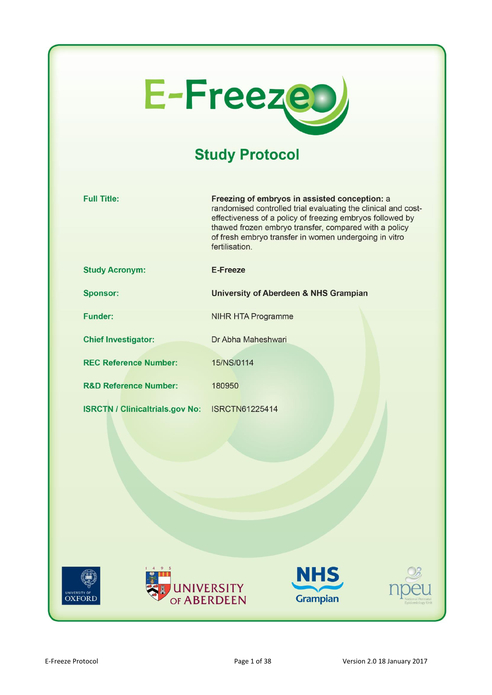

# **Study Protocol**

| <b>Full Title:</b>                     | Freezing of embryos in assisted conception: a<br>randomised controlled trial evaluating the clinical and cost-<br>effectiveness of a policy of freezing embryos followed by<br>thawed frozen embryo transfer, compared with a policy<br>of fresh embryo transfer in women undergoing in vitro<br>fertilisation. |
|----------------------------------------|-----------------------------------------------------------------------------------------------------------------------------------------------------------------------------------------------------------------------------------------------------------------------------------------------------------------|
| <b>Study Acronym:</b>                  | E-Freeze                                                                                                                                                                                                                                                                                                        |
| <b>Sponsor:</b>                        | <b>University of Aberdeen &amp; NHS Grampian</b>                                                                                                                                                                                                                                                                |
| <b>Funder:</b>                         | <b>NIHR HTA Programme</b>                                                                                                                                                                                                                                                                                       |
| <b>Chief Investigator:</b>             | Dr Abha Maheshwari                                                                                                                                                                                                                                                                                              |
| <b>REC Reference Number:</b>           | 15/NS/0114                                                                                                                                                                                                                                                                                                      |
| <b>R&amp;D Reference Number:</b>       | 180950                                                                                                                                                                                                                                                                                                          |
| <b>ISRCTN / Clinicaltrials.gov No:</b> | <b>ISRCTN61225414</b>                                                                                                                                                                                                                                                                                           |
| )XFORD                                 | <b>NHS</b><br><b>UNIVERSITY</b><br>OF ABERDEEN<br><b>Grampian</b>                                                                                                                                                                                                                                               |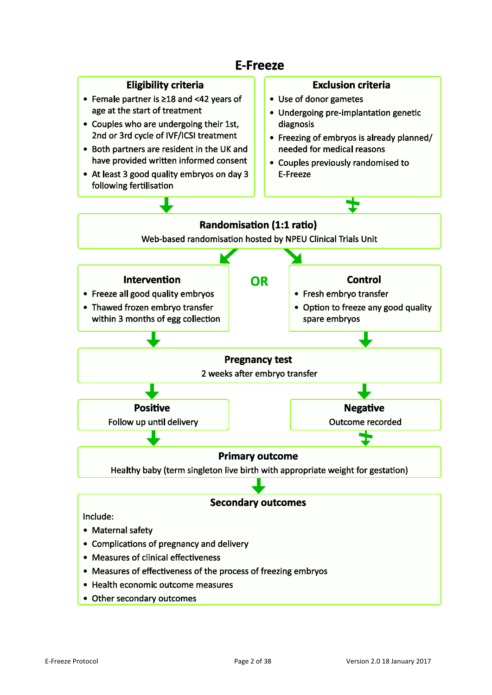

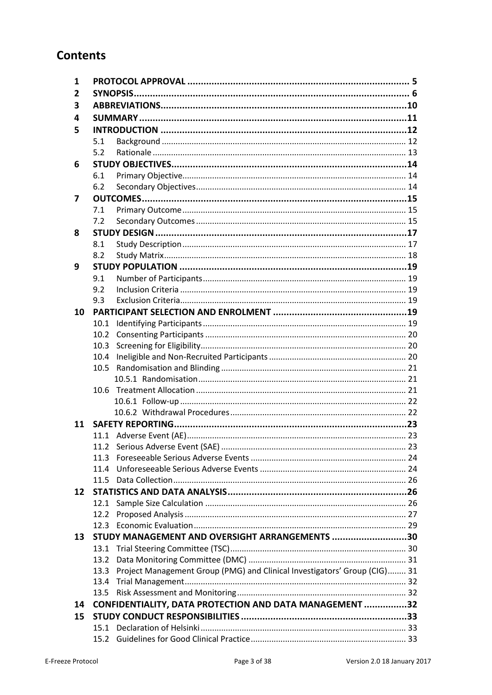## **Contents**

| 1   |      |                                                                           |  |
|-----|------|---------------------------------------------------------------------------|--|
| 2   |      |                                                                           |  |
| 3   |      |                                                                           |  |
| 4   |      |                                                                           |  |
| 5   |      |                                                                           |  |
|     | 5.1  |                                                                           |  |
|     | 5.2  |                                                                           |  |
| 6   |      |                                                                           |  |
|     | 6.1  |                                                                           |  |
|     | 6.2  |                                                                           |  |
| 7   |      |                                                                           |  |
|     | 7.1  |                                                                           |  |
|     | 7.2  |                                                                           |  |
| 8   |      |                                                                           |  |
|     | 8.1  |                                                                           |  |
|     | 8.2  |                                                                           |  |
| 9   |      |                                                                           |  |
|     | 9.1  |                                                                           |  |
|     | 9.2  |                                                                           |  |
|     | 9.3  |                                                                           |  |
| 10  |      |                                                                           |  |
|     | 10.1 |                                                                           |  |
|     | 10.2 |                                                                           |  |
|     | 10.3 |                                                                           |  |
|     | 10.4 |                                                                           |  |
|     | 10.5 |                                                                           |  |
|     |      |                                                                           |  |
|     | 10.6 |                                                                           |  |
|     |      |                                                                           |  |
|     |      |                                                                           |  |
| 11  |      |                                                                           |  |
|     |      |                                                                           |  |
|     |      |                                                                           |  |
|     | 11.3 |                                                                           |  |
|     | 11.4 |                                                                           |  |
|     |      |                                                                           |  |
| 12  |      |                                                                           |  |
|     | 12.1 |                                                                           |  |
|     | 12.2 |                                                                           |  |
| 13. |      | STUDY MANAGEMENT AND OVERSIGHT ARRANGEMENTS 30                            |  |
|     |      |                                                                           |  |
|     | 13.2 |                                                                           |  |
|     | 13.3 | Project Management Group (PMG) and Clinical Investigators' Group (CIG) 31 |  |
|     | 13.4 |                                                                           |  |
|     | 13.5 |                                                                           |  |
| 14  |      | CONFIDENTIALITY, DATA PROTECTION AND DATA MANAGEMENT 32                   |  |
| 15  |      |                                                                           |  |
|     |      |                                                                           |  |
|     |      |                                                                           |  |
|     |      |                                                                           |  |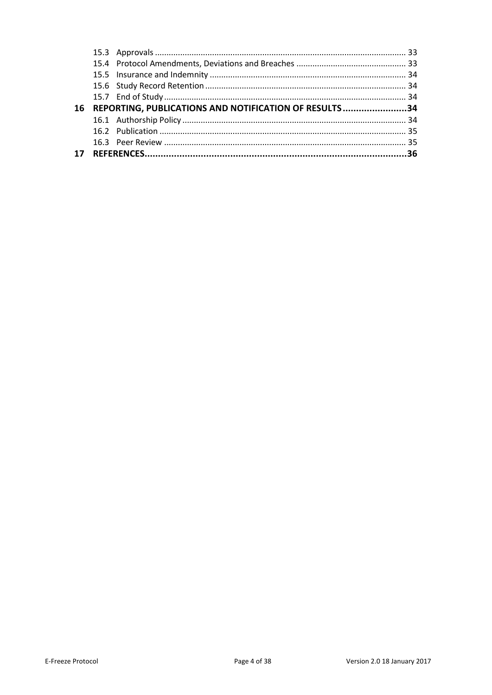| 16 | REPORTING, PUBLICATIONS AND NOTIFICATION OF RESULTS34 |  |
|----|-------------------------------------------------------|--|
|    |                                                       |  |
|    |                                                       |  |
|    |                                                       |  |
|    |                                                       |  |
| 17 |                                                       |  |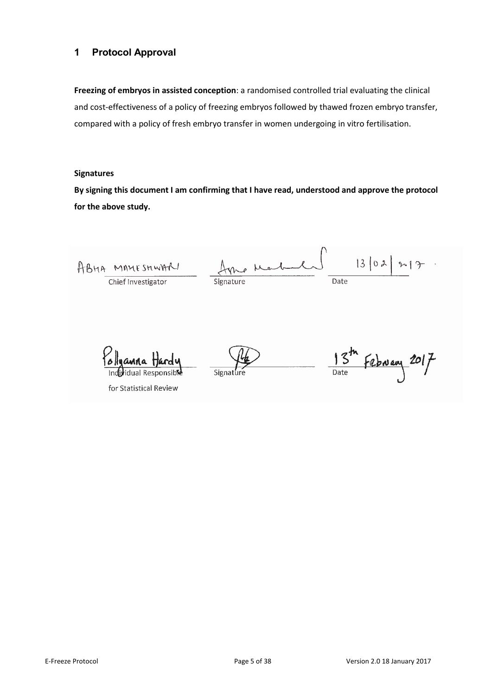## <span id="page-4-0"></span>**1 Protocol Approval**

**Freezing of embryos in assisted conception**: a randomised controlled trial evaluating the clinical and cost-effectiveness of a policy of freezing embryos followed by thawed frozen embryo transfer, compared with a policy of fresh embryo transfer in women undergoing in vitro fertilisation.

#### **Signatures**

**By signing this document I am confirming that I have read, understood and approve the protocol for the above study.**

 $13102$  $217$ o Mark ABHA MAMESHWARI Chief Investigator Date Signature  $\frac{15^{th}}{200}$  February 2017 Signat

for Statistical Review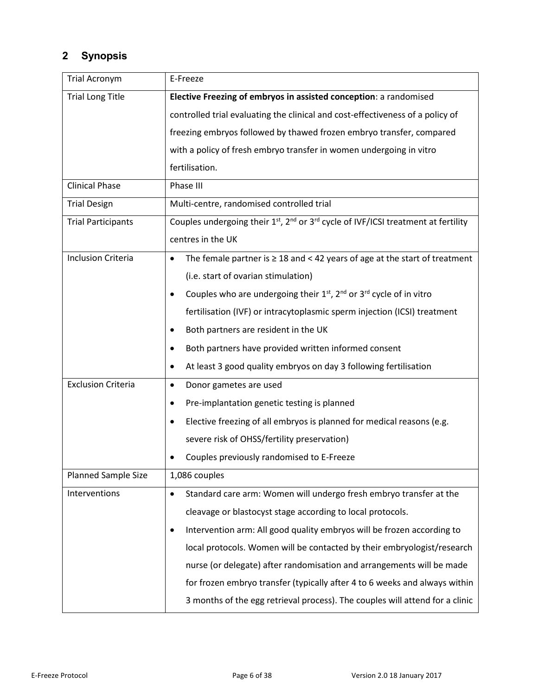## **2 Synopsis**

<span id="page-5-0"></span>

| <b>Trial Acronym</b>       | E-Freeze                                                                                          |
|----------------------------|---------------------------------------------------------------------------------------------------|
| <b>Trial Long Title</b>    | Elective Freezing of embryos in assisted conception: a randomised                                 |
|                            | controlled trial evaluating the clinical and cost-effectiveness of a policy of                    |
|                            | freezing embryos followed by thawed frozen embryo transfer, compared                              |
|                            | with a policy of fresh embryo transfer in women undergoing in vitro                               |
|                            | fertilisation.                                                                                    |
| <b>Clinical Phase</b>      | Phase III                                                                                         |
| <b>Trial Design</b>        | Multi-centre, randomised controlled trial                                                         |
| <b>Trial Participants</b>  | Couples undergoing their $1^{st}$ , $2^{nd}$ or $3^{rd}$ cycle of IVF/ICSI treatment at fertility |
|                            | centres in the UK                                                                                 |
| <b>Inclusion Criteria</b>  | The female partner is $\geq 18$ and < 42 years of age at the start of treatment<br>$\bullet$      |
|                            | (i.e. start of ovarian stimulation)                                                               |
|                            | Couples who are undergoing their $1st$ , $2nd$ or $3rd$ cycle of in vitro                         |
|                            | fertilisation (IVF) or intracytoplasmic sperm injection (ICSI) treatment                          |
|                            | Both partners are resident in the UK                                                              |
|                            | Both partners have provided written informed consent                                              |
|                            | At least 3 good quality embryos on day 3 following fertilisation                                  |
| <b>Exclusion Criteria</b>  | Donor gametes are used<br>$\bullet$                                                               |
|                            | Pre-implantation genetic testing is planned<br>٠                                                  |
|                            | Elective freezing of all embryos is planned for medical reasons (e.g.                             |
|                            | severe risk of OHSS/fertility preservation)                                                       |
|                            | Couples previously randomised to E-Freeze                                                         |
| <b>Planned Sample Size</b> | 1,086 couples                                                                                     |
| Interventions              | Standard care arm: Women will undergo fresh embryo transfer at the                                |
|                            | cleavage or blastocyst stage according to local protocols.                                        |
|                            | Intervention arm: All good quality embryos will be frozen according to                            |
|                            | local protocols. Women will be contacted by their embryologist/research                           |
|                            | nurse (or delegate) after randomisation and arrangements will be made                             |
|                            | for frozen embryo transfer (typically after 4 to 6 weeks and always within                        |
|                            | 3 months of the egg retrieval process). The couples will attend for a clinic                      |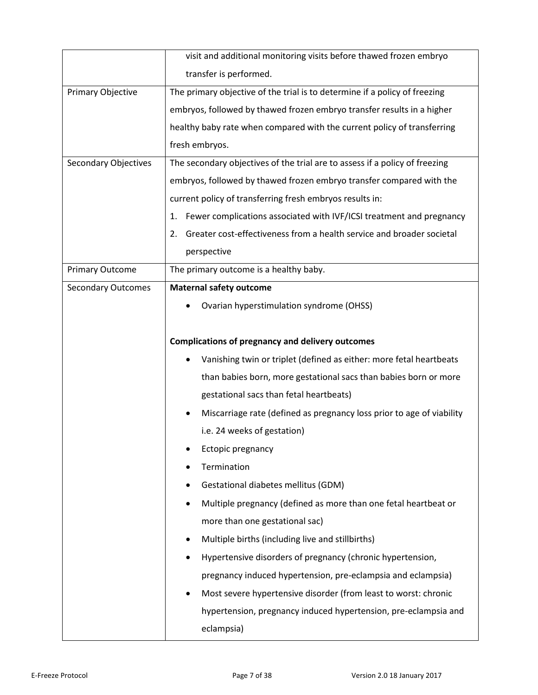|                             | visit and additional monitoring visits before thawed frozen embryo           |
|-----------------------------|------------------------------------------------------------------------------|
|                             | transfer is performed.                                                       |
| Primary Objective           | The primary objective of the trial is to determine if a policy of freezing   |
|                             | embryos, followed by thawed frozen embryo transfer results in a higher       |
|                             | healthy baby rate when compared with the current policy of transferring      |
|                             | fresh embryos.                                                               |
| <b>Secondary Objectives</b> | The secondary objectives of the trial are to assess if a policy of freezing  |
|                             | embryos, followed by thawed frozen embryo transfer compared with the         |
|                             | current policy of transferring fresh embryos results in:                     |
|                             | Fewer complications associated with IVF/ICSI treatment and pregnancy<br>1.   |
|                             | Greater cost-effectiveness from a health service and broader societal<br>2.  |
|                             | perspective                                                                  |
| <b>Primary Outcome</b>      | The primary outcome is a healthy baby.                                       |
| <b>Secondary Outcomes</b>   | <b>Maternal safety outcome</b>                                               |
|                             | Ovarian hyperstimulation syndrome (OHSS)                                     |
|                             |                                                                              |
|                             | <b>Complications of pregnancy and delivery outcomes</b>                      |
|                             | Vanishing twin or triplet (defined as either: more fetal heartbeats          |
|                             | than babies born, more gestational sacs than babies born or more             |
|                             | gestational sacs than fetal heartbeats)                                      |
|                             | Miscarriage rate (defined as pregnancy loss prior to age of viability        |
|                             | i.e. 24 weeks of gestation)                                                  |
|                             | Ectopic pregnancy                                                            |
|                             | Termination                                                                  |
|                             | Gestational diabetes mellitus (GDM)                                          |
|                             | Multiple pregnancy (defined as more than one fetal heartbeat or<br>$\bullet$ |
|                             | more than one gestational sac)                                               |
|                             | Multiple births (including live and stillbirths)<br>٠                        |
|                             | Hypertensive disorders of pregnancy (chronic hypertension,                   |
|                             | pregnancy induced hypertension, pre-eclampsia and eclampsia)                 |
|                             | Most severe hypertensive disorder (from least to worst: chronic<br>$\bullet$ |
|                             | hypertension, pregnancy induced hypertension, pre-eclampsia and              |
|                             | eclampsia)                                                                   |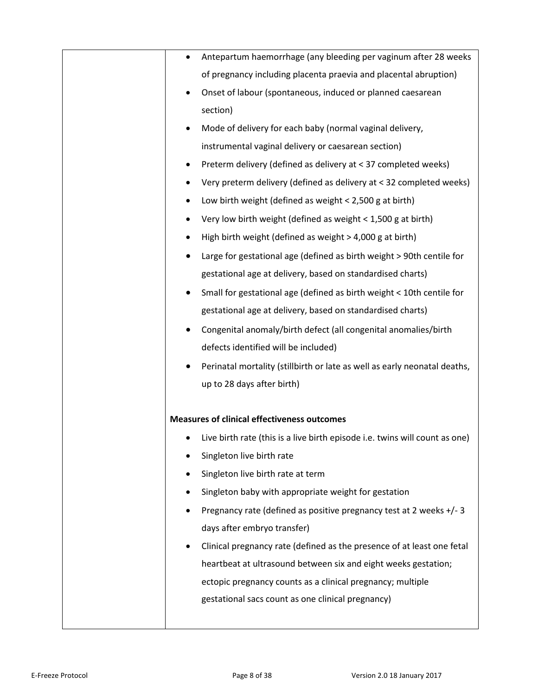| Antepartum haemorrhage (any bleeding per vaginum after 28 weeks             |
|-----------------------------------------------------------------------------|
| of pregnancy including placenta praevia and placental abruption)            |
| Onset of labour (spontaneous, induced or planned caesarean                  |
| section)                                                                    |
| Mode of delivery for each baby (normal vaginal delivery,                    |
| instrumental vaginal delivery or caesarean section)                         |
| Preterm delivery (defined as delivery at < 37 completed weeks)              |
| Very preterm delivery (defined as delivery at < 32 completed weeks)         |
| Low birth weight (defined as weight $<$ 2,500 g at birth)                   |
| Very low birth weight (defined as weight < 1,500 g at birth)                |
| High birth weight (defined as weight > 4,000 g at birth)                    |
| Large for gestational age (defined as birth weight > 90th centile for       |
| gestational age at delivery, based on standardised charts)                  |
| Small for gestational age (defined as birth weight < 10th centile for       |
| gestational age at delivery, based on standardised charts)                  |
| Congenital anomaly/birth defect (all congenital anomalies/birth             |
| defects identified will be included)                                        |
| Perinatal mortality (stillbirth or late as well as early neonatal deaths,   |
| up to 28 days after birth)                                                  |
|                                                                             |
| <b>Measures of clinical effectiveness outcomes</b>                          |
| Live birth rate (this is a live birth episode i.e. twins will count as one) |
| Singleton live birth rate                                                   |
| Singleton live birth rate at term                                           |
| Singleton baby with appropriate weight for gestation                        |
| Pregnancy rate (defined as positive pregnancy test at 2 weeks +/-3          |
| days after embryo transfer)                                                 |
| Clinical pregnancy rate (defined as the presence of at least one fetal      |
| heartbeat at ultrasound between six and eight weeks gestation;              |
| ectopic pregnancy counts as a clinical pregnancy; multiple                  |
| gestational sacs count as one clinical pregnancy)                           |
|                                                                             |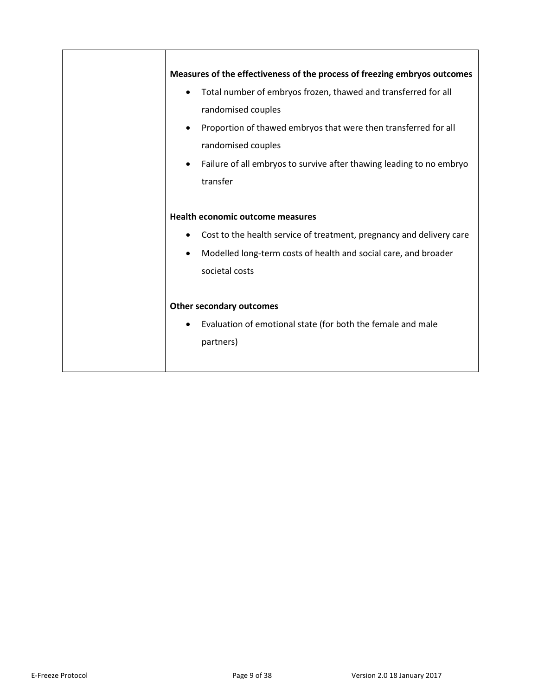| Measures of the effectiveness of the process of freezing embryos outcomes                                                                                                                                                                                                                                |
|----------------------------------------------------------------------------------------------------------------------------------------------------------------------------------------------------------------------------------------------------------------------------------------------------------|
| Total number of embryos frozen, thawed and transferred for all<br>$\bullet$<br>randomised couples<br>Proportion of thawed embryos that were then transferred for all<br>$\bullet$<br>randomised couples<br>Failure of all embryos to survive after thawing leading to no embryo<br>$\bullet$<br>transfer |
| <b>Health economic outcome measures</b><br>Cost to the health service of treatment, pregnancy and delivery care<br>Modelled long-term costs of health and social care, and broader<br>$\bullet$<br>societal costs                                                                                        |
| <b>Other secondary outcomes</b><br>Evaluation of emotional state (for both the female and male<br>$\bullet$<br>partners)                                                                                                                                                                                 |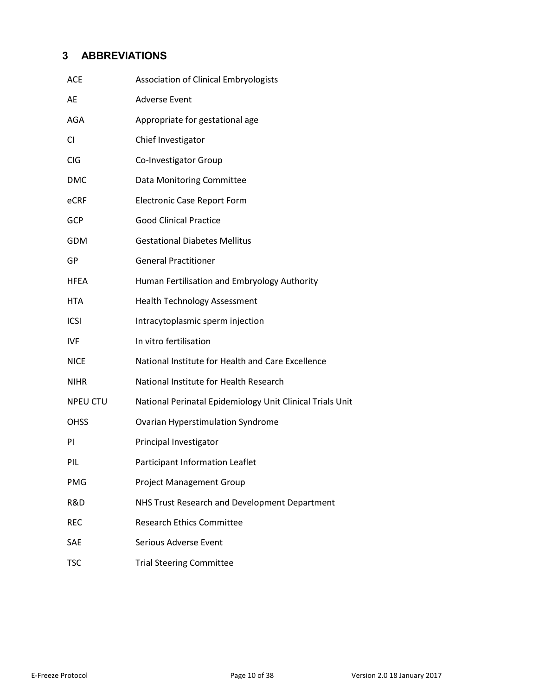## **3 ABBREVIATIONS**

<span id="page-9-0"></span>

| ACE             | <b>Association of Clinical Embryologists</b>              |
|-----------------|-----------------------------------------------------------|
| AE              | <b>Adverse Event</b>                                      |
| AGA             | Appropriate for gestational age                           |
| CI              | Chief Investigator                                        |
| CIG             | Co-Investigator Group                                     |
| DMC             | Data Monitoring Committee                                 |
| eCRF            | <b>Electronic Case Report Form</b>                        |
| GCP             | <b>Good Clinical Practice</b>                             |
| GDM             | <b>Gestational Diabetes Mellitus</b>                      |
| GP              | <b>General Practitioner</b>                               |
| HFEA            | Human Fertilisation and Embryology Authority              |
| HTA             | <b>Health Technology Assessment</b>                       |
| <b>ICSI</b>     | Intracytoplasmic sperm injection                          |
| IVF             | In vitro fertilisation                                    |
| <b>NICE</b>     | National Institute for Health and Care Excellence         |
| <b>NIHR</b>     | National Institute for Health Research                    |
| <b>NPEU CTU</b> | National Perinatal Epidemiology Unit Clinical Trials Unit |
| OHSS            | Ovarian Hyperstimulation Syndrome                         |
| ΡI              | Principal Investigator                                    |
| PIL             | Participant Information Leaflet                           |
| PMG             | <b>Project Management Group</b>                           |
| R&D             | NHS Trust Research and Development Department             |
| <b>REC</b>      | <b>Research Ethics Committee</b>                          |
| SAE             | Serious Adverse Event                                     |
| TSC             | <b>Trial Steering Committee</b>                           |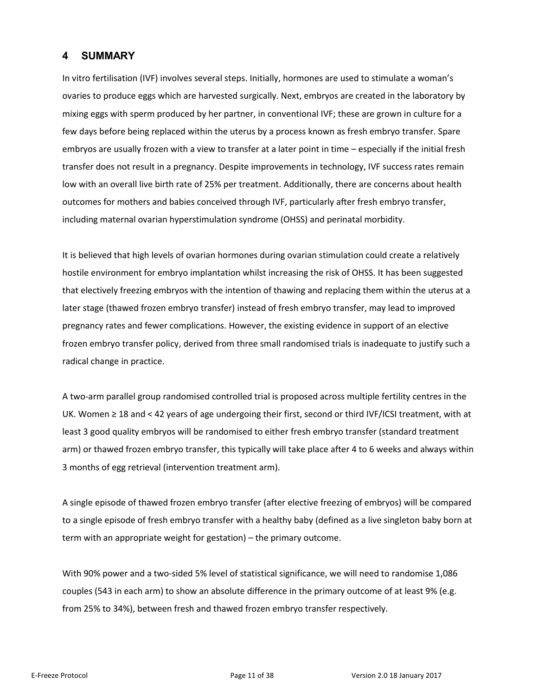## **4 SUMMARY**

<span id="page-10-0"></span>In vitro fertilisation (IVF) involves several steps. Initially, hormones are used to stimulate a woman's ovaries to produce eggs which are harvested surgically. Next, embryos are created in the laboratory by mixing eggs with sperm produced by her partner, in conventional IVF; these are grown in culture for a few days before being replaced within the uterus by a process known as fresh embryo transfer. Spare embryos are usually frozen with a view to transfer at a later point in time – especially if the initial fresh transfer does not result in a pregnancy. Despite improvements in technology, IVF success rates remain low with an overall live birth rate of 25% per treatment. Additionally, there are concerns about health outcomes for mothers and babies conceived through IVF, particularly after fresh embryo transfer, including maternal ovarian hyperstimulation syndrome (OHSS) and perinatal morbidity.

It is believed that high levels of ovarian hormones during ovarian stimulation could create a relatively hostile environment for embryo implantation whilst increasing the risk of OHSS. It has been suggested that electively freezing embryos with the intention of thawing and replacing them within the uterus at a later stage (thawed frozen embryo transfer) instead of fresh embryo transfer, may lead to improved pregnancy rates and fewer complications. However, the existing evidence in support of an elective frozen embryo transfer policy, derived from three small randomised trials is inadequate to justify such a radical change in practice.

A two-arm parallel group randomised controlled trial is proposed across multiple fertility centres in the UK. Women ≥ 18 and < 42 years of age undergoing their first, second or third IVF/ICSI treatment, with at least 3 good quality embryos will be randomised to either fresh embryo transfer (standard treatment arm) or thawed frozen embryo transfer, this typically will take place after 4 to 6 weeks and always within 3 months of egg retrieval (intervention treatment arm).

A single episode of thawed frozen embryo transfer (after elective freezing of embryos) will be compared to a single episode of fresh embryo transfer with a healthy baby (defined as a live singleton baby born at term with an appropriate weight for gestation) – the primary outcome.

With 90% power and a two-sided 5% level of statistical significance, we will need to randomise 1,086 couples (543 in each arm) to show an absolute difference in the primary outcome of at least 9% (e.g. from 25% to 34%), between fresh and thawed frozen embryo transfer respectively.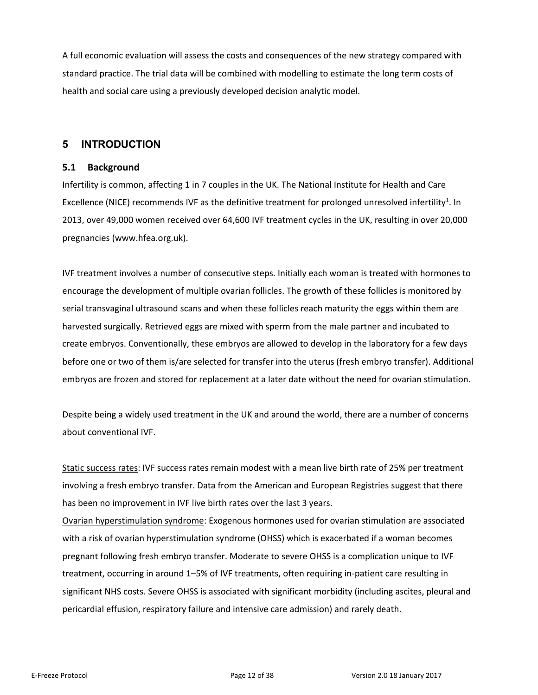A full economic evaluation will assess the costs and consequences of the new strategy compared with standard practice. The trial data will be combined with modelling to estimate the long term costs of health and social care using a previously developed decision analytic model.

## **5 INTRODUCTION**

## **5.1 Background**

<span id="page-11-1"></span><span id="page-11-0"></span>Infertility is common, affecting 1 in 7 couples in the UK. The National Institute for Health and Care Excellence (NICE) recommends IVF as the definitive treatment for prolonged unresolved infertility<sup>1</sup>. In 2013, over 49,000 women received over 64,600 IVF treatment cycles in the UK, resulting in over 20,000 pregnancies (www.hfea.org.uk).

IVF treatment involves a number of consecutive steps. Initially each woman is treated with hormones to encourage the development of multiple ovarian follicles. The growth of these follicles is monitored by serial transvaginal ultrasound scans and when these follicles reach maturity the eggs within them are harvested surgically. Retrieved eggs are mixed with sperm from the male partner and incubated to create embryos. Conventionally, these embryos are allowed to develop in the laboratory for a few days before one or two of them is/are selected for transfer into the uterus (fresh embryo transfer). Additional embryos are frozen and stored for replacement at a later date without the need for ovarian stimulation.

Despite being a widely used treatment in the UK and around the world, there are a number of concerns about conventional IVF.

Static success rates: IVF success rates remain modest with a mean live birth rate of 25% per treatment involving a fresh embryo transfer. Data from the American and European Registries suggest that there has been no improvement in IVF live birth rates over the last 3 years.

Ovarian hyperstimulation syndrome: Exogenous hormones used for ovarian stimulation are associated with a risk of ovarian hyperstimulation syndrome (OHSS) which is exacerbated if a woman becomes pregnant following fresh embryo transfer. Moderate to severe OHSS is a complication unique to IVF treatment, occurring in around 1–5% of IVF treatments, often requiring in-patient care resulting in significant NHS costs. Severe OHSS is associated with significant morbidity (including ascites, pleural and pericardial effusion, respiratory failure and intensive care admission) and rarely death.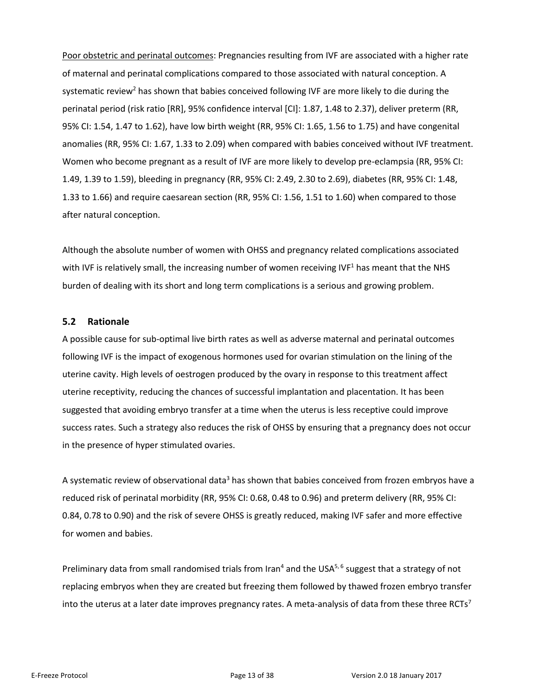Poor obstetric and perinatal outcomes: Pregnancies resulting from IVF are associated with a higher rate of maternal and perinatal complications compared to those associated with natural conception. A systematic review<sup>2</sup> has shown that babies conceived following IVF are more likely to die during the perinatal period (risk ratio [RR], 95% confidence interval [CI]: 1.87, 1.48 to 2.37), deliver preterm (RR, 95% CI: 1.54, 1.47 to 1.62), have low birth weight (RR, 95% CI: 1.65, 1.56 to 1.75) and have congenital anomalies (RR, 95% CI: 1.67, 1.33 to 2.09) when compared with babies conceived without IVF treatment. Women who become pregnant as a result of IVF are more likely to develop pre-eclampsia (RR, 95% CI: 1.49, 1.39 to 1.59), bleeding in pregnancy (RR, 95% CI: 2.49, 2.30 to 2.69), diabetes (RR, 95% CI: 1.48, 1.33 to 1.66) and require caesarean section (RR, 95% CI: 1.56, 1.51 to 1.60) when compared to those after natural conception.

Although the absolute number of women with OHSS and pregnancy related complications associated with IVF is relatively small, the increasing number of women receiving IVF $<sup>1</sup>$  has meant that the NHS</sup> burden of dealing with its short and long term complications is a serious and growing problem.

#### **5.2 Rationale**

<span id="page-12-0"></span>A possible cause for sub-optimal live birth rates as well as adverse maternal and perinatal outcomes following IVF is the impact of exogenous hormones used for ovarian stimulation on the lining of the uterine cavity. High levels of oestrogen produced by the ovary in response to this treatment affect uterine receptivity, reducing the chances of successful implantation and placentation. It has been suggested that avoiding embryo transfer at a time when the uterus is less receptive could improve success rates. Such a strategy also reduces the risk of OHSS by ensuring that a pregnancy does not occur in the presence of hyper stimulated ovaries.

A systematic review of observational data<sup>3</sup> has shown that babies conceived from frozen embryos have a reduced risk of perinatal morbidity (RR, 95% CI: 0.68, 0.48 to 0.96) and preterm delivery (RR, 95% CI: 0.84, 0.78 to 0.90) and the risk of severe OHSS is greatly reduced, making IVF safer and more effective for women and babies.

Preliminary data from small randomised trials from Iran<sup>4</sup> and the USA<sup>5,6</sup> suggest that a strategy of not replacing embryos when they are created but freezing them followed by thawed frozen embryo transfer into the uterus at a later date improves pregnancy rates. A meta-analysis of data from these three RCTs<sup>7</sup>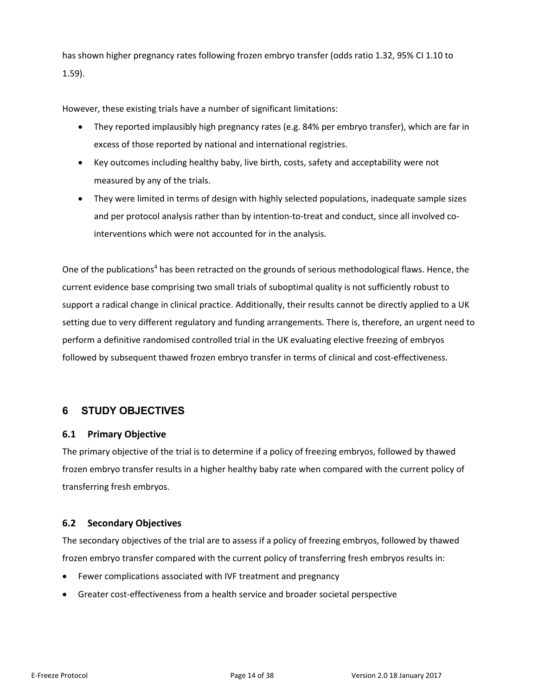has shown higher pregnancy rates following frozen embryo transfer (odds ratio 1.32, 95% CI 1.10 to 1.59).

However, these existing trials have a number of significant limitations:

- They reported implausibly high pregnancy rates (e.g. 84% per embryo transfer), which are far in excess of those reported by national and international registries.
- Key outcomes including healthy baby, live birth, costs, safety and acceptability were not measured by any of the trials.
- They were limited in terms of design with highly selected populations, inadequate sample sizes and per protocol analysis rather than by intention-to-treat and conduct, since all involved cointerventions which were not accounted for in the analysis.

One of the publications<sup>4</sup> has been retracted on the grounds of serious methodological flaws. Hence, the current evidence base comprising two small trials of suboptimal quality is not sufficiently robust to support a radical change in clinical practice. Additionally, their results cannot be directly applied to a UK setting due to very different regulatory and funding arrangements. There is, therefore, an urgent need to perform a definitive randomised controlled trial in the UK evaluating elective freezing of embryos followed by subsequent thawed frozen embryo transfer in terms of clinical and cost-effectiveness.

## **6 STUDY OBJECTIVES**

## **6.1 Primary Objective**

<span id="page-13-1"></span><span id="page-13-0"></span>The primary objective of the trial is to determine if a policy of freezing embryos, followed by thawed frozen embryo transfer results in a higher healthy baby rate when compared with the current policy of transferring fresh embryos.

## **6.2 Secondary Objectives**

The secondary objectives of the trial are to assess if a policy of freezing embryos, followed by thawed frozen embryo transfer compared with the current policy of transferring fresh embryos results in:

- <span id="page-13-2"></span>Fewer complications associated with IVF treatment and pregnancy
- Greater cost-effectiveness from a health service and broader societal perspective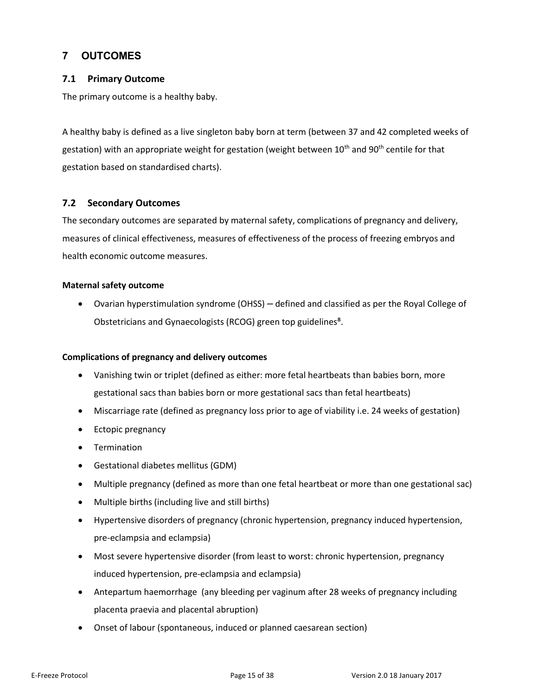## **7 OUTCOMES**

## **7.1 Primary Outcome**

<span id="page-14-0"></span>The primary outcome is a healthy baby.

<span id="page-14-1"></span>A healthy baby is defined as a live singleton baby born at term (between 37 and 42 completed weeks of gestation) with an appropriate weight for gestation (weight between 10<sup>th</sup> and 90<sup>th</sup> centile for that gestation based on standardised charts).

## **7.2 Secondary Outcomes**

<span id="page-14-2"></span>The secondary outcomes are separated by maternal safety, complications of pregnancy and delivery, measures of clinical effectiveness, measures of effectiveness of the process of freezing embryos and health economic outcome measures.

#### **Maternal safety outcome**

 Ovarian hyperstimulation syndrome (OHSS) – defined and classified as per the Royal College of Obstetricians and Gynaecologists (RCOG) green top guidelines<sup>8</sup>.

#### **Complications of pregnancy and delivery outcomes**

- Vanishing twin or triplet (defined as either: more fetal heartbeats than babies born, more gestational sacs than babies born or more gestational sacs than fetal heartbeats)
- Miscarriage rate (defined as pregnancy loss prior to age of viability i.e. 24 weeks of gestation)
- Ectopic pregnancy
- **•** Termination
- Gestational diabetes mellitus (GDM)
- Multiple pregnancy (defined as more than one fetal heartbeat or more than one gestational sac)
- Multiple births (including live and still births)
- Hypertensive disorders of pregnancy (chronic hypertension, pregnancy induced hypertension, pre-eclampsia and eclampsia)
- Most severe hypertensive disorder (from least to worst: chronic hypertension, pregnancy induced hypertension, pre-eclampsia and eclampsia)
- Antepartum haemorrhage (any bleeding per vaginum after 28 weeks of pregnancy including placenta praevia and placental abruption)
- Onset of labour (spontaneous, induced or planned caesarean section)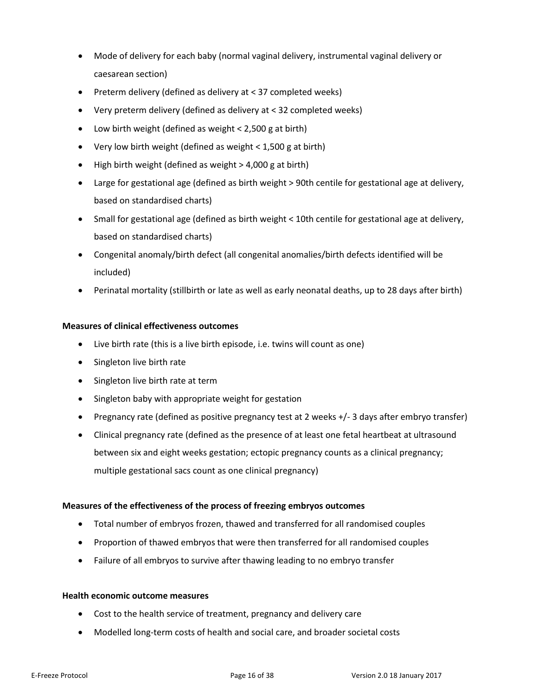- Mode of delivery for each baby (normal vaginal delivery, instrumental vaginal delivery or caesarean section)
- Preterm delivery (defined as delivery at < 37 completed weeks)
- Very preterm delivery (defined as delivery at < 32 completed weeks)
- Low birth weight (defined as weight < 2,500 g at birth)
- Very low birth weight (defined as weight < 1,500 g at birth)
- $\bullet$  High birth weight (defined as weight  $>$  4,000 g at birth)
- Large for gestational age (defined as birth weight > 90th centile for gestational age at delivery, based on standardised charts)
- Small for gestational age (defined as birth weight < 10th centile for gestational age at delivery, based on standardised charts)
- Congenital anomaly/birth defect (all congenital anomalies/birth defects identified will be included)
- Perinatal mortality (stillbirth or late as well as early neonatal deaths, up to 28 days after birth)

#### **Measures of clinical effectiveness outcomes**

- Live birth rate (this is a live birth episode, i.e. twins will count as one)
- Singleton live birth rate
- Singleton live birth rate at term
- Singleton baby with appropriate weight for gestation
- Pregnancy rate (defined as positive pregnancy test at 2 weeks +/- 3 days after embryo transfer)
- Clinical pregnancy rate (defined as the presence of at least one fetal heartbeat at ultrasound between six and eight weeks gestation; ectopic pregnancy counts as a clinical pregnancy; multiple gestational sacs count as one clinical pregnancy)

#### **Measures of the effectiveness of the process of freezing embryos outcomes**

- Total number of embryos frozen, thawed and transferred for all randomised couples
- Proportion of thawed embryos that were then transferred for all randomised couples
- Failure of all embryos to survive after thawing leading to no embryo transfer

#### **Health economic outcome measures**

- Cost to the health service of treatment, pregnancy and delivery care
- Modelled long-term costs of health and social care, and broader societal costs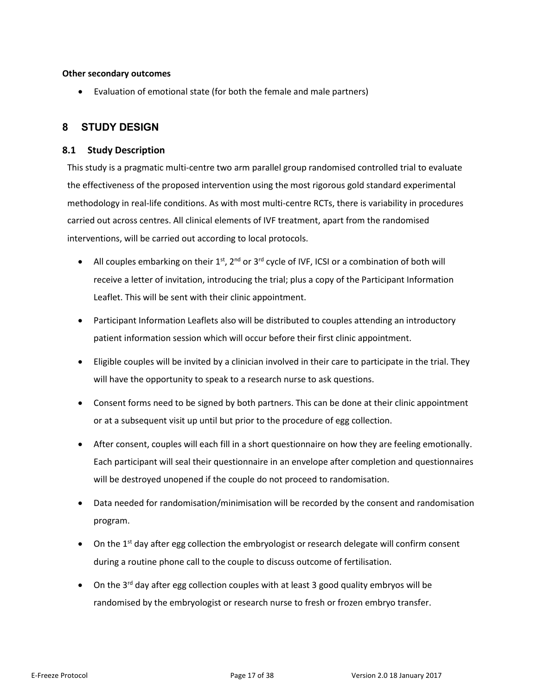#### **Other secondary outcomes**

Evaluation of emotional state (for both the female and male partners)

## **8 STUDY DESIGN**

## **8.1 Study Description**

<span id="page-16-1"></span><span id="page-16-0"></span>This study is a pragmatic multi-centre two arm parallel group randomised controlled trial to evaluate the effectiveness of the proposed intervention using the most rigorous gold standard experimental methodology in real-life conditions. As with most multi-centre RCTs, there is variability in procedures carried out across centres. All clinical elements of IVF treatment, apart from the randomised interventions, will be carried out according to local protocols.

- All couples embarking on their  $1^{st}$ ,  $2^{nd}$  or  $3^{rd}$  cycle of IVF, ICSI or a combination of both will receive a letter of invitation, introducing the trial; plus a copy of the Participant Information Leaflet. This will be sent with their clinic appointment.
- Participant Information Leaflets also will be distributed to couples attending an introductory patient information session which will occur before their first clinic appointment.
- Eligible couples will be invited by a clinician involved in their care to participate in the trial. They will have the opportunity to speak to a research nurse to ask questions.
- Consent forms need to be signed by both partners. This can be done at their clinic appointment or at a subsequent visit up until but prior to the procedure of egg collection.
- After consent, couples will each fill in a short questionnaire on how they are feeling emotionally. Each participant will seal their questionnaire in an envelope after completion and questionnaires will be destroyed unopened if the couple do not proceed to randomisation.
- Data needed for randomisation/minimisation will be recorded by the consent and randomisation program.
- $\bullet$  On the 1<sup>st</sup> day after egg collection the embryologist or research delegate will confirm consent during a routine phone call to the couple to discuss outcome of fertilisation.
- On the  $3<sup>rd</sup>$  day after egg collection couples with at least 3 good quality embryos will be randomised by the embryologist or research nurse to fresh or frozen embryo transfer.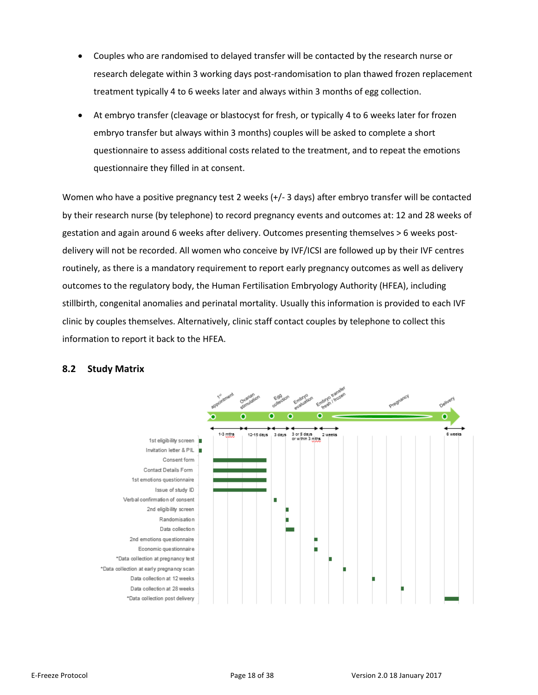- Couples who are randomised to delayed transfer will be contacted by the research nurse or research delegate within 3 working days post-randomisation to plan thawed frozen replacement treatment typically 4 to 6 weeks later and always within 3 months of egg collection.
- At embryo transfer (cleavage or blastocyst for fresh, or typically 4 to 6 weeks later for frozen embryo transfer but always within 3 months) couples will be asked to complete a short questionnaire to assess additional costs related to the treatment, and to repeat the emotions questionnaire they filled in at consent.

Women who have a positive pregnancy test 2 weeks (+/- 3 days) after embryo transfer will be contacted by their research nurse (by telephone) to record pregnancy events and outcomes at: 12 and 28 weeks of gestation and again around 6 weeks after delivery. Outcomes presenting themselves > 6 weeks postdelivery will not be recorded. All women who conceive by IVF/ICSI are followed up by their IVF centres routinely, as there is a mandatory requirement to report early pregnancy outcomes as well as delivery outcomes to the regulatory body, the Human Fertilisation Embryology Authority (HFEA), including stillbirth, congenital anomalies and perinatal mortality. Usually this information is provided to each IVF clinic by couples themselves. Alternatively, clinic staff contact couples by telephone to collect this information to report it back to the HFEA.



#### <span id="page-17-0"></span>**8.2 Study Matrix**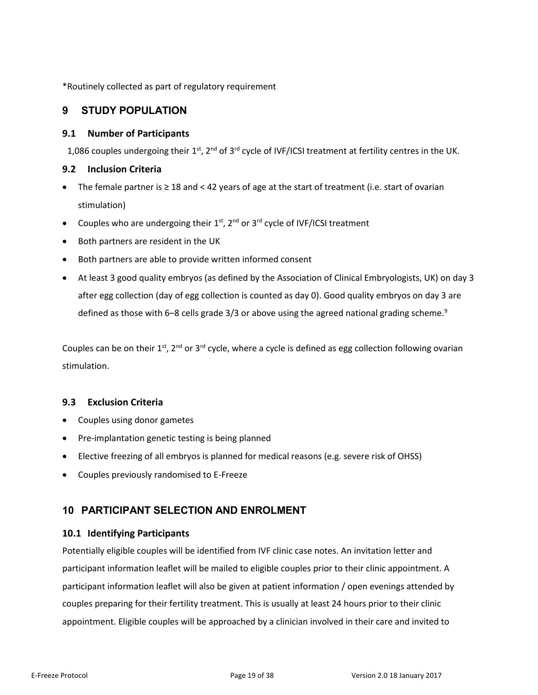\*Routinely collected as part of regulatory requirement

## **9 STUDY POPULATION**

#### **9.1 Number of Participants**

<span id="page-18-0"></span>1,086 couples undergoing their 1<sup>st</sup>, 2<sup>nd</sup> of 3<sup>rd</sup> cycle of IVF/ICSI treatment at fertility centres in the UK.

#### <span id="page-18-1"></span>**9.2 Inclusion Criteria**

- The female partner is ≥ 18 and < 42 years of age at the start of treatment (i.e. start of ovarian stimulation)
- <span id="page-18-2"></span>• Couples who are undergoing their  $1<sup>st</sup>$ ,  $2<sup>nd</sup>$  or  $3<sup>rd</sup>$  cycle of IVF/ICSI treatment
- Both partners are resident in the UK
- Both partners are able to provide written informed consent
- At least 3 good quality embryos (as defined by the Association of Clinical Embryologists, UK) on day 3 after egg collection (day of egg collection is counted as day 0). Good quality embryos on day 3 are defined as those with 6-8 cells grade 3/3 or above using the agreed national grading scheme.<sup>9</sup>

Couples can be on their  $1^{st}$ ,  $2^{nd}$  or  $3^{rd}$  cycle, where a cycle is defined as egg collection following ovarian stimulation.

#### **9.3 Exclusion Criteria**

- Couples using donor gametes
- <span id="page-18-3"></span>Pre-implantation genetic testing is being planned
- Elective freezing of all embryos is planned for medical reasons (e.g. severe risk of OHSS)
- Couples previously randomised to E-Freeze

## **10 PARTICIPANT SELECTION AND ENROLMENT**

## **10.1 Identifying Participants**

<span id="page-18-5"></span><span id="page-18-4"></span>Potentially eligible couples will be identified from IVF clinic case notes. An invitation letter and participant information leaflet will be mailed to eligible couples prior to their clinic appointment. A participant information leaflet will also be given at patient information / open evenings attended by couples preparing for their fertility treatment. This is usually at least 24 hours prior to their clinic appointment. Eligible couples will be approached by a clinician involved in their care and invited to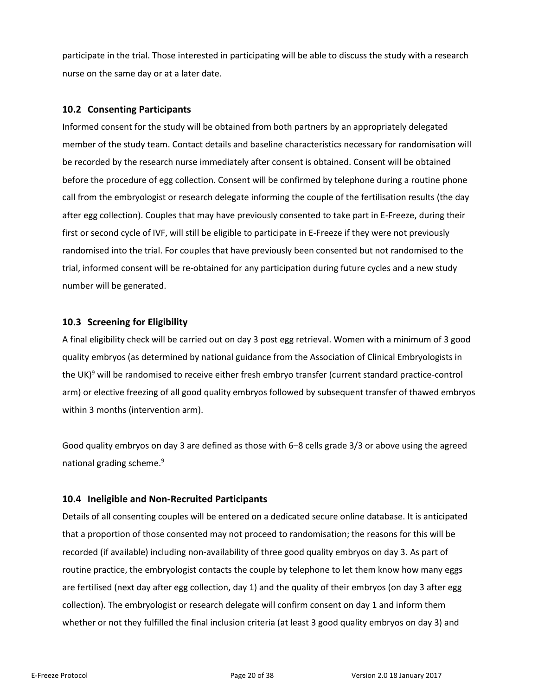participate in the trial. Those interested in participating will be able to discuss the study with a research nurse on the same day or at a later date.

## **10.2 Consenting Participants**

<span id="page-19-0"></span>Informed consent for the study will be obtained from both partners by an appropriately delegated member of the study team. Contact details and baseline characteristics necessary for randomisation will be recorded by the research nurse immediately after consent is obtained. Consent will be obtained before the procedure of egg collection. Consent will be confirmed by telephone during a routine phone call from the embryologist or research delegate informing the couple of the fertilisation results (the day after egg collection). Couples that may have previously consented to take part in E-Freeze, during their first or second cycle of IVF, will still be eligible to participate in E-Freeze if they were not previously randomised into the trial. For couples that have previously been consented but not randomised to the trial, informed consent will be re-obtained for any participation during future cycles and a new study number will be generated.

## **10.3 Screening for Eligibility**

<span id="page-19-1"></span>A final eligibility check will be carried out on day 3 post egg retrieval. Women with a minimum of 3 good quality embryos (as determined by national guidance from the Association of Clinical Embryologists in the UK)<sup>9</sup> will be randomised to receive either fresh embryo transfer (current standard practice-control arm) or elective freezing of all good quality embryos followed by subsequent transfer of thawed embryos within 3 months (intervention arm).

Good quality embryos on day 3 are defined as those with 6–8 cells grade 3/3 or above using the agreed national grading scheme.<sup>9</sup>

## **10.4 Ineligible and Non-Recruited Participants**

<span id="page-19-2"></span>Details of all consenting couples will be entered on a dedicated secure online database. It is anticipated that a proportion of those consented may not proceed to randomisation; the reasons for this will be recorded (if available) including non-availability of three good quality embryos on day 3. As part of routine practice, the embryologist contacts the couple by telephone to let them know how many eggs are fertilised (next day after egg collection, day 1) and the quality of their embryos (on day 3 after egg collection). The embryologist or research delegate will confirm consent on day 1 and inform them whether or not they fulfilled the final inclusion criteria (at least 3 good quality embryos on day 3) and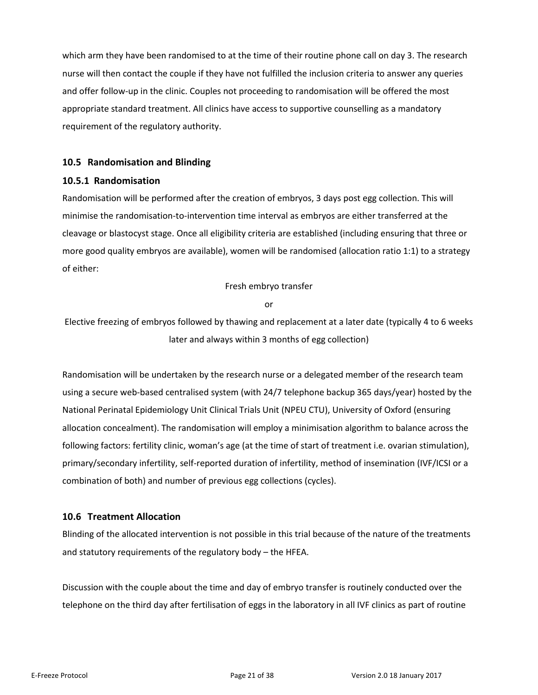which arm they have been randomised to at the time of their routine phone call on day 3. The research nurse will then contact the couple if they have not fulfilled the inclusion criteria to answer any queries and offer follow-up in the clinic. Couples not proceeding to randomisation will be offered the most appropriate standard treatment. All clinics have access to supportive counselling as a mandatory requirement of the regulatory authority.

## **10.5 Randomisation and Blinding**

#### **10.5.1 Randomisation**

<span id="page-20-1"></span><span id="page-20-0"></span>Randomisation will be performed after the creation of embryos, 3 days post egg collection. This will minimise the randomisation-to-intervention time interval as embryos are either transferred at the cleavage or blastocyst stage. Once all eligibility criteria are established (including ensuring that three or more good quality embryos are available), women will be randomised (allocation ratio 1:1) to a strategy of either:

Fresh embryo transfer

or

Elective freezing of embryos followed by thawing and replacement at a later date (typically 4 to 6 weeks later and always within 3 months of egg collection)

Randomisation will be undertaken by the research nurse or a delegated member of the research team using a secure web-based centralised system (with 24/7 telephone backup 365 days/year) hosted by the National Perinatal Epidemiology Unit Clinical Trials Unit (NPEU CTU), University of Oxford (ensuring allocation concealment). The randomisation will employ a minimisation algorithm to balance across the following factors: fertility clinic, woman's age (at the time of start of treatment i.e. ovarian stimulation), primary/secondary infertility, self-reported duration of infertility, method of insemination (IVF/ICSI or a combination of both) and number of previous egg collections (cycles).

#### **10.6 Treatment Allocation**

<span id="page-20-2"></span>Blinding of the allocated intervention is not possible in this trial because of the nature of the treatments and statutory requirements of the regulatory body – the HFEA.

Discussion with the couple about the time and day of embryo transfer is routinely conducted over the telephone on the third day after fertilisation of eggs in the laboratory in all IVF clinics as part of routine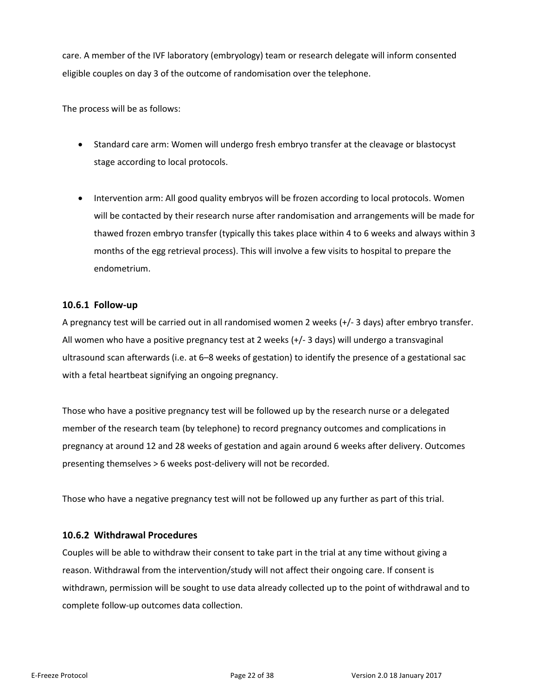care. A member of the IVF laboratory (embryology) team or research delegate will inform consented eligible couples on day 3 of the outcome of randomisation over the telephone.

The process will be as follows:

- Standard care arm: Women will undergo fresh embryo transfer at the cleavage or blastocyst stage according to local protocols.
- Intervention arm: All good quality embryos will be frozen according to local protocols. Women will be contacted by their research nurse after randomisation and arrangements will be made for thawed frozen embryo transfer (typically this takes place within 4 to 6 weeks and always within 3 months of the egg retrieval process). This will involve a few visits to hospital to prepare the endometrium.

## **10.6.1 Follow-up**

<span id="page-21-0"></span>A pregnancy test will be carried out in all randomised women 2 weeks (+/- 3 days) after embryo transfer. All women who have a positive pregnancy test at 2 weeks (+/- 3 days) will undergo a transvaginal ultrasound scan afterwards (i.e. at 6–8 weeks of gestation) to identify the presence of a gestational sac with a fetal heartbeat signifying an ongoing pregnancy.

Those who have a positive pregnancy test will be followed up by the research nurse or a delegated member of the research team (by telephone) to record pregnancy outcomes and complications in pregnancy at around 12 and 28 weeks of gestation and again around 6 weeks after delivery. Outcomes presenting themselves > 6 weeks post-delivery will not be recorded.

Those who have a negative pregnancy test will not be followed up any further as part of this trial.

#### **10.6.2 Withdrawal Procedures**

<span id="page-21-1"></span>Couples will be able to withdraw their consent to take part in the trial at any time without giving a reason. Withdrawal from the intervention/study will not affect their ongoing care. If consent is withdrawn, permission will be sought to use data already collected up to the point of withdrawal and to complete follow-up outcomes data collection.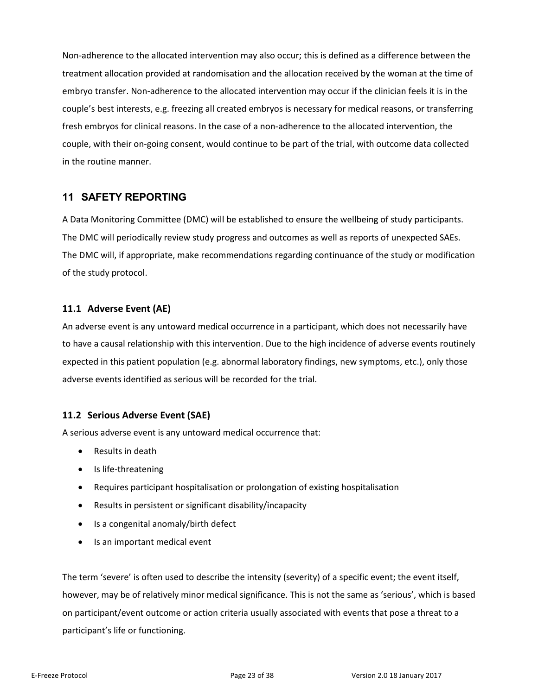Non-adherence to the allocated intervention may also occur; this is defined as a difference between the treatment allocation provided at randomisation and the allocation received by the woman at the time of embryo transfer. Non-adherence to the allocated intervention may occur if the clinician feels it is in the couple's best interests, e.g. freezing all created embryos is necessary for medical reasons, or transferring fresh embryos for clinical reasons. In the case of a non-adherence to the allocated intervention, the couple, with their on-going consent, would continue to be part of the trial, with outcome data collected in the routine manner.

## **11 SAFETY REPORTING**

<span id="page-22-0"></span>A Data Monitoring Committee (DMC) will be established to ensure the wellbeing of study participants. The DMC will periodically review study progress and outcomes as well as reports of unexpected SAEs. The DMC will, if appropriate, make recommendations regarding continuance of the study or modification of the study protocol.

## **11.1 Adverse Event (AE)**

<span id="page-22-1"></span>An adverse event is any untoward medical occurrence in a participant, which does not necessarily have to have a causal relationship with this intervention. Due to the high incidence of adverse events routinely expected in this patient population (e.g. abnormal laboratory findings, new symptoms, etc.), only those adverse events identified as serious will be recorded for the trial.

## **11.2 Serious Adverse Event (SAE)**

A serious adverse event is any untoward medical occurrence that:

- <span id="page-22-2"></span>• Results in death
- Is life-threatening
- Requires participant hospitalisation or prolongation of existing hospitalisation
- Results in persistent or significant disability/incapacity
- Is a congenital anomaly/birth defect
- Is an important medical event

The term 'severe' is often used to describe the intensity (severity) of a specific event; the event itself, however, may be of relatively minor medical significance. This is not the same as 'serious', which is based on participant/event outcome or action criteria usually associated with events that pose a threat to a participant's life or functioning.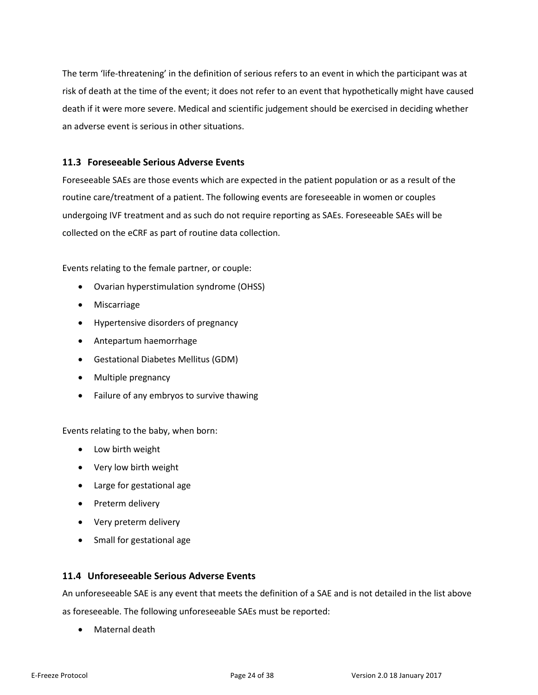The term 'life-threatening' in the definition of serious refers to an event in which the participant was at risk of death at the time of the event; it does not refer to an event that hypothetically might have caused death if it were more severe. Medical and scientific judgement should be exercised in deciding whether an adverse event is serious in other situations.

## **11.3 Foreseeable Serious Adverse Events**

<span id="page-23-0"></span>Foreseeable SAEs are those events which are expected in the patient population or as a result of the routine care/treatment of a patient. The following events are foreseeable in women or couples undergoing IVF treatment and as such do not require reporting as SAEs. Foreseeable SAEs will be collected on the eCRF as part of routine data collection.

Events relating to the female partner, or couple:

- Ovarian hyperstimulation syndrome (OHSS)
- Miscarriage
- Hypertensive disorders of pregnancy
- Antepartum haemorrhage
- Gestational Diabetes Mellitus (GDM)
- Multiple pregnancy
- Failure of any embryos to survive thawing

Events relating to the baby, when born:

- Low birth weight
- Very low birth weight
- Large for gestational age
- Preterm delivery
- Very preterm delivery
- Small for gestational age

#### **11.4 Unforeseeable Serious Adverse Events**

An unforeseeable SAE is any event that meets the definition of a SAE and is not detailed in the list above as foreseeable. The following unforeseeable SAEs must be reported:

<span id="page-23-1"></span>Maternal death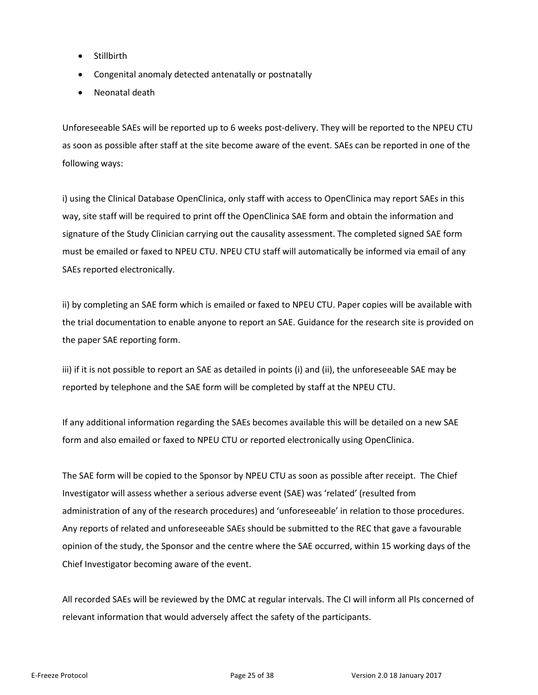- Stillbirth
- Congenital anomaly detected antenatally or postnatally
- Neonatal death

Unforeseeable SAEs will be reported up to 6 weeks post-delivery. They will be reported to the NPEU CTU as soon as possible after staff at the site become aware of the event. SAEs can be reported in one of the following ways:

i) using the Clinical Database OpenClinica, only staff with access to OpenClinica may report SAEs in this way, site staff will be required to print off the OpenClinica SAE form and obtain the information and signature of the Study Clinician carrying out the causality assessment. The completed signed SAE form must be emailed or faxed to NPEU CTU. NPEU CTU staff will automatically be informed via email of any SAEs reported electronically.

ii) by completing an SAE form which is emailed or faxed to NPEU CTU. Paper copies will be available with the trial documentation to enable anyone to report an SAE. Guidance for the research site is provided on the paper SAE reporting form.

iii) if it is not possible to report an SAE as detailed in points (i) and (ii), the unforeseeable SAE may be reported by telephone and the SAE form will be completed by staff at the NPEU CTU.

If any additional information regarding the SAEs becomes available this will be detailed on a new SAE form and also emailed or faxed to NPEU CTU or reported electronically using OpenClinica.

The SAE form will be copied to the Sponsor by NPEU CTU as soon as possible after receipt. The Chief Investigator will assess whether a serious adverse event (SAE) was 'related' (resulted from administration of any of the research procedures) and 'unforeseeable' in relation to those procedures. Any reports of related and unforeseeable SAEs should be submitted to the REC that gave a favourable opinion of the study, the Sponsor and the centre where the SAE occurred, within 15 working days of the Chief Investigator becoming aware of the event.

All recorded SAEs will be reviewed by the DMC at regular intervals. The CI will inform all PIs concerned of relevant information that would adversely affect the safety of the participants.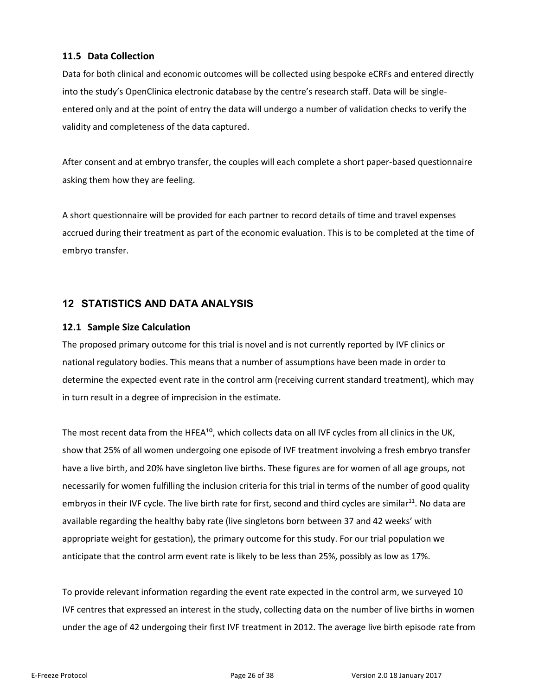## **11.5 Data Collection**

<span id="page-25-0"></span>Data for both clinical and economic outcomes will be collected using bespoke eCRFs and entered directly into the study's OpenClinica electronic database by the centre's research staff. Data will be singleentered only and at the point of entry the data will undergo a number of validation checks to verify the validity and completeness of the data captured.

After consent and at embryo transfer, the couples will each complete a short paper-based questionnaire asking them how they are feeling.

A short questionnaire will be provided for each partner to record details of time and travel expenses accrued during their treatment as part of the economic evaluation. This is to be completed at the time of embryo transfer.

## **12 STATISTICS AND DATA ANALYSIS**

## **12.1 Sample Size Calculation**

<span id="page-25-2"></span><span id="page-25-1"></span>The proposed primary outcome for this trial is novel and is not currently reported by IVF clinics or national regulatory bodies. This means that a number of assumptions have been made in order to determine the expected event rate in the control arm (receiving current standard treatment), which may in turn result in a degree of imprecision in the estimate.

The most recent data from the HFEA<sup>10</sup>, which collects data on all IVF cycles from all clinics in the UK, show that 25% of all women undergoing one episode of IVF treatment involving a fresh embryo transfer have a live birth, and 20% have singleton live births. These figures are for women of all age groups, not necessarily for women fulfilling the inclusion criteria for this trial in terms of the number of good quality embryos in their IVF cycle. The live birth rate for first, second and third cycles are similar<sup>11</sup>. No data are available regarding the healthy baby rate (live singletons born between 37 and 42 weeks' with appropriate weight for gestation), the primary outcome for this study. For our trial population we anticipate that the control arm event rate is likely to be less than 25%, possibly as low as 17%.

To provide relevant information regarding the event rate expected in the control arm, we surveyed 10 IVF centres that expressed an interest in the study, collecting data on the number of live births in women under the age of 42 undergoing their first IVF treatment in 2012. The average live birth episode rate from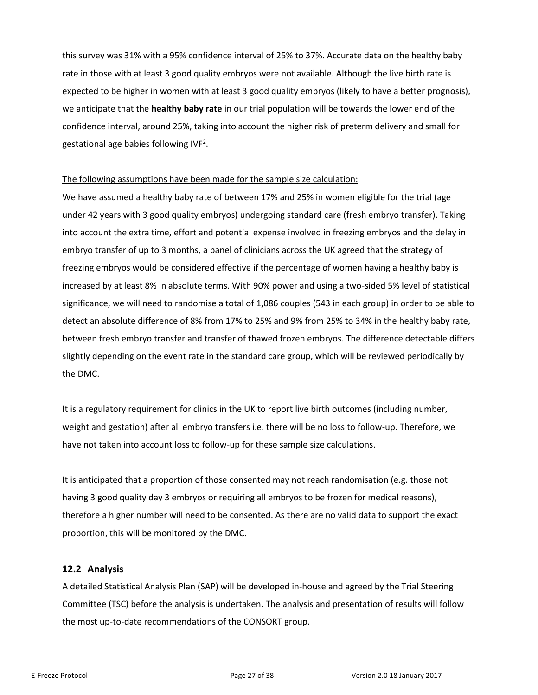this survey was 31% with a 95% confidence interval of 25% to 37%. Accurate data on the healthy baby rate in those with at least 3 good quality embryos were not available. Although the live birth rate is expected to be higher in women with at least 3 good quality embryos (likely to have a better prognosis), we anticipate that the **healthy baby rate** in our trial population will be towards the lower end of the confidence interval, around 25%, taking into account the higher risk of preterm delivery and small for gestational age babies following IVF<sup>2</sup>.

#### The following assumptions have been made for the sample size calculation:

We have assumed a healthy baby rate of between 17% and 25% in women eligible for the trial (age under 42 years with 3 good quality embryos) undergoing standard care (fresh embryo transfer). Taking into account the extra time, effort and potential expense involved in freezing embryos and the delay in embryo transfer of up to 3 months, a panel of clinicians across the UK agreed that the strategy of freezing embryos would be considered effective if the percentage of women having a healthy baby is increased by at least 8% in absolute terms. With 90% power and using a two-sided 5% level of statistical significance, we will need to randomise a total of 1,086 couples (543 in each group) in order to be able to detect an absolute difference of 8% from 17% to 25% and 9% from 25% to 34% in the healthy baby rate, between fresh embryo transfer and transfer of thawed frozen embryos. The difference detectable differs slightly depending on the event rate in the standard care group, which will be reviewed periodically by the DMC.

It is a regulatory requirement for clinics in the UK to report live birth outcomes (including number, weight and gestation) after all embryo transfers i.e. there will be no loss to follow-up. Therefore, we have not taken into account loss to follow-up for these sample size calculations.

It is anticipated that a proportion of those consented may not reach randomisation (e.g. those not having 3 good quality day 3 embryos or requiring all embryos to be frozen for medical reasons), therefore a higher number will need to be consented. As there are no valid data to support the exact proportion, this will be monitored by the DMC.

#### **12.2 Analysis**

<span id="page-26-0"></span>A detailed Statistical Analysis Plan (SAP) will be developed in-house and agreed by the Trial Steering Committee (TSC) before the analysis is undertaken. The analysis and presentation of results will follow the most up-to-date recommendations of the CONSORT group.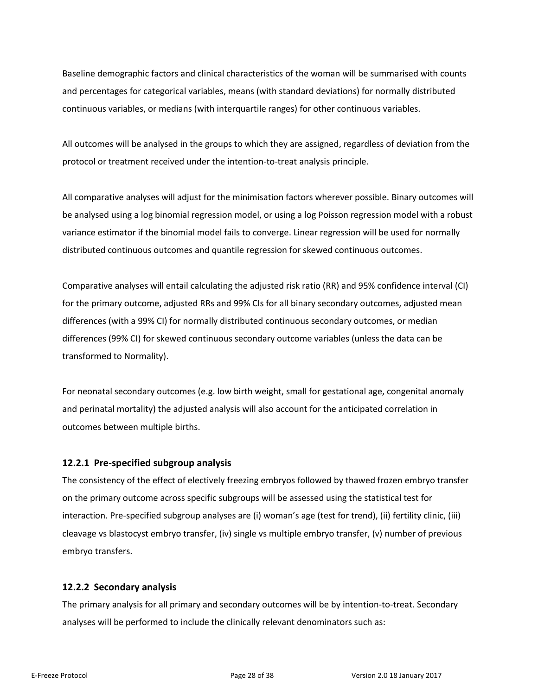Baseline demographic factors and clinical characteristics of the woman will be summarised with counts and percentages for categorical variables, means (with standard deviations) for normally distributed continuous variables, or medians (with interquartile ranges) for other continuous variables.

All outcomes will be analysed in the groups to which they are assigned, regardless of deviation from the protocol or treatment received under the intention-to-treat analysis principle.

All comparative analyses will adjust for the minimisation factors wherever possible. Binary outcomes will be analysed using a log binomial regression model, or using a log Poisson regression model with a robust variance estimator if the binomial model fails to converge. Linear regression will be used for normally distributed continuous outcomes and quantile regression for skewed continuous outcomes.

Comparative analyses will entail calculating the adjusted risk ratio (RR) and 95% confidence interval (CI) for the primary outcome, adjusted RRs and 99% CIs for all binary secondary outcomes, adjusted mean differences (with a 99% CI) for normally distributed continuous secondary outcomes, or median differences (99% CI) for skewed continuous secondary outcome variables (unless the data can be transformed to Normality).

For neonatal secondary outcomes (e.g. low birth weight, small for gestational age, congenital anomaly and perinatal mortality) the adjusted analysis will also account for the anticipated correlation in outcomes between multiple births.

#### **12.2.1 Pre-specified subgroup analysis**

The consistency of the effect of electively freezing embryos followed by thawed frozen embryo transfer on the primary outcome across specific subgroups will be assessed using the statistical test for interaction. Pre-specified subgroup analyses are (i) woman's age (test for trend), (ii) fertility clinic, (iii) cleavage vs blastocyst embryo transfer, (iv) single vs multiple embryo transfer, (v) number of previous embryo transfers.

#### **12.2.2 Secondary analysis**

The primary analysis for all primary and secondary outcomes will be by intention-to-treat. Secondary analyses will be performed to include the clinically relevant denominators such as: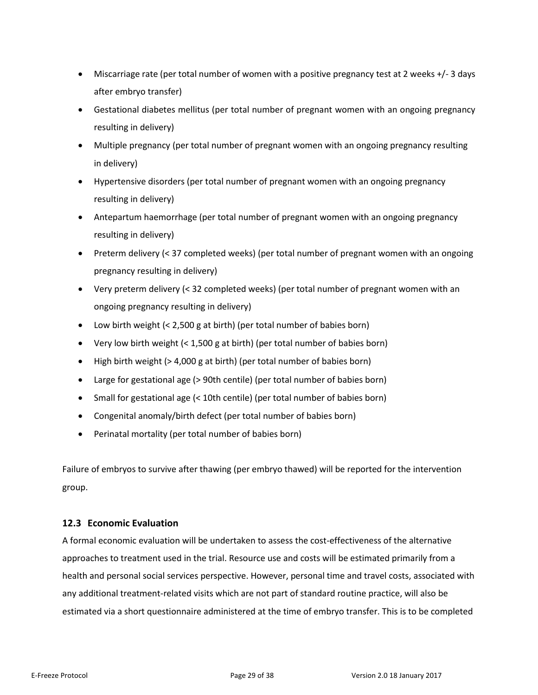- Miscarriage rate (per total number of women with a positive pregnancy test at 2 weeks +/- 3 days after embryo transfer)
- Gestational diabetes mellitus (per total number of pregnant women with an ongoing pregnancy resulting in delivery)
- Multiple pregnancy (per total number of pregnant women with an ongoing pregnancy resulting in delivery)
- Hypertensive disorders (per total number of pregnant women with an ongoing pregnancy resulting in delivery)
- Antepartum haemorrhage (per total number of pregnant women with an ongoing pregnancy resulting in delivery)
- Preterm delivery (< 37 completed weeks) (per total number of pregnant women with an ongoing pregnancy resulting in delivery)
- Very preterm delivery (< 32 completed weeks) (per total number of pregnant women with an ongoing pregnancy resulting in delivery)
- Low birth weight (< 2,500 g at birth) (per total number of babies born)
- Very low birth weight (< 1,500 g at birth) (per total number of babies born)
- High birth weight (> 4,000 g at birth) (per total number of babies born)
- Large for gestational age (> 90th centile) (per total number of babies born)
- Small for gestational age (< 10th centile) (per total number of babies born)
- Congenital anomaly/birth defect (per total number of babies born)
- Perinatal mortality (per total number of babies born)

Failure of embryos to survive after thawing (per embryo thawed) will be reported for the intervention group.

## **12.3 Economic Evaluation**

<span id="page-28-0"></span>A formal economic evaluation will be undertaken to assess the cost-effectiveness of the alternative approaches to treatment used in the trial. Resource use and costs will be estimated primarily from a health and personal social services perspective. However, personal time and travel costs, associated with any additional treatment-related visits which are not part of standard routine practice, will also be estimated via a short questionnaire administered at the time of embryo transfer. This is to be completed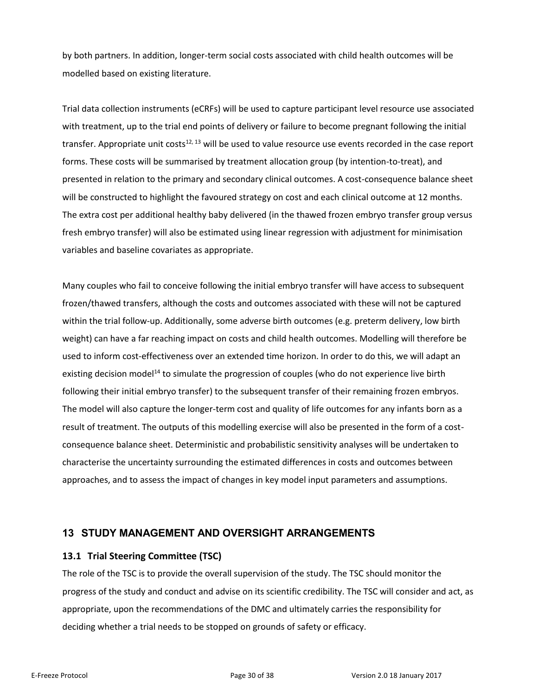by both partners. In addition, longer-term social costs associated with child health outcomes will be modelled based on existing literature.

Trial data collection instruments (eCRFs) will be used to capture participant level resource use associated with treatment, up to the trial end points of delivery or failure to become pregnant following the initial transfer. Appropriate unit costs $12, 13$  will be used to value resource use events recorded in the case report forms. These costs will be summarised by treatment allocation group (by intention-to-treat), and presented in relation to the primary and secondary clinical outcomes. A cost-consequence balance sheet will be constructed to highlight the favoured strategy on cost and each clinical outcome at 12 months. The extra cost per additional healthy baby delivered (in the thawed frozen embryo transfer group versus fresh embryo transfer) will also be estimated using linear regression with adjustment for minimisation variables and baseline covariates as appropriate.

Many couples who fail to conceive following the initial embryo transfer will have access to subsequent frozen/thawed transfers, although the costs and outcomes associated with these will not be captured within the trial follow-up. Additionally, some adverse birth outcomes (e.g. preterm delivery, low birth weight) can have a far reaching impact on costs and child health outcomes. Modelling will therefore be used to inform cost-effectiveness over an extended time horizon. In order to do this, we will adapt an existing decision model<sup>14</sup> to simulate the progression of couples (who do not experience live birth following their initial embryo transfer) to the subsequent transfer of their remaining frozen embryos. The model will also capture the longer-term cost and quality of life outcomes for any infants born as a result of treatment. The outputs of this modelling exercise will also be presented in the form of a costconsequence balance sheet. Deterministic and probabilistic sensitivity analyses will be undertaken to characterise the uncertainty surrounding the estimated differences in costs and outcomes between approaches, and to assess the impact of changes in key model input parameters and assumptions.

## **13 STUDY MANAGEMENT AND OVERSIGHT ARRANGEMENTS**

#### **13.1 Trial Steering Committee (TSC)**

<span id="page-29-1"></span><span id="page-29-0"></span>The role of the TSC is to provide the overall supervision of the study. The TSC should monitor the progress of the study and conduct and advise on its scientific credibility. The TSC will consider and act, as appropriate, upon the recommendations of the DMC and ultimately carries the responsibility for deciding whether a trial needs to be stopped on grounds of safety or efficacy.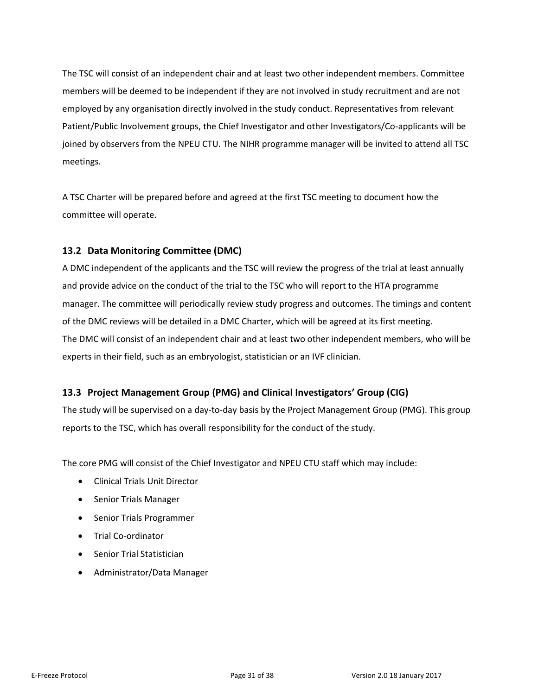The TSC will consist of an independent chair and at least two other independent members. Committee members will be deemed to be independent if they are not involved in study recruitment and are not employed by any organisation directly involved in the study conduct. Representatives from relevant Patient/Public Involvement groups, the Chief Investigator and other Investigators/Co-applicants will be joined by observers from the NPEU CTU. The NIHR programme manager will be invited to attend all TSC meetings.

A TSC Charter will be prepared before and agreed at the first TSC meeting to document how the committee will operate.

## **13.2 Data Monitoring Committee (DMC)**

<span id="page-30-0"></span>A DMC independent of the applicants and the TSC will review the progress of the trial at least annually and provide advice on the conduct of the trial to the TSC who will report to the HTA programme manager. The committee will periodically review study progress and outcomes. The timings and content of the DMC reviews will be detailed in a DMC Charter, which will be agreed at its first meeting. The DMC will consist of an independent chair and at least two other independent members, who will be experts in their field, such as an embryologist, statistician or an IVF clinician.

## **13.3 Project Management Group (PMG) and Clinical Investigators' Group (CIG)**

<span id="page-30-1"></span>The study will be supervised on a day-to-day basis by the Project Management Group (PMG). This group reports to the TSC, which has overall responsibility for the conduct of the study.

The core PMG will consist of the Chief Investigator and NPEU CTU staff which may include:

- Clinical Trials Unit Director
- Senior Trials Manager
- Senior Trials Programmer
- Trial Co-ordinator
- Senior Trial Statistician
- Administrator/Data Manager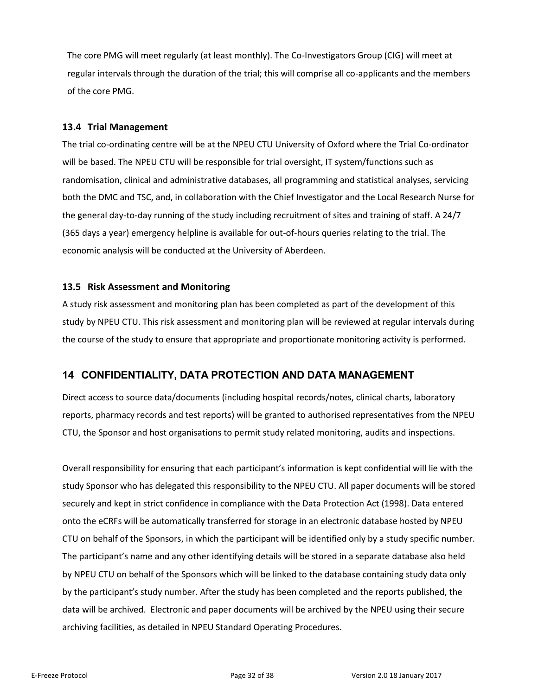The core PMG will meet regularly (at least monthly). The Co-Investigators Group (CIG) will meet at regular intervals through the duration of the trial; this will comprise all co-applicants and the members of the core PMG.

#### **13.4 Trial Management**

<span id="page-31-0"></span>The trial co-ordinating centre will be at the NPEU CTU University of Oxford where the Trial Co-ordinator will be based. The NPEU CTU will be responsible for trial oversight, IT system/functions such as randomisation, clinical and administrative databases, all programming and statistical analyses, servicing both the DMC and TSC, and, in collaboration with the Chief Investigator and the Local Research Nurse for the general day-to-day running of the study including recruitment of sites and training of staff. A 24/7 (365 days a year) emergency helpline is available for out-of-hours queries relating to the trial. The economic analysis will be conducted at the University of Aberdeen.

#### **13.5 Risk Assessment and Monitoring**

<span id="page-31-1"></span>A study risk assessment and monitoring plan has been completed as part of the development of this study by NPEU CTU. This risk assessment and monitoring plan will be reviewed at regular intervals during the course of the study to ensure that appropriate and proportionate monitoring activity is performed.

## **14 CONFIDENTIALITY, DATA PROTECTION AND DATA MANAGEMENT**

<span id="page-31-2"></span>Direct access to source data/documents (including hospital records/notes, clinical charts, laboratory reports, pharmacy records and test reports) will be granted to authorised representatives from the NPEU CTU, the Sponsor and host organisations to permit study related monitoring, audits and inspections.

Overall responsibility for ensuring that each participant's information is kept confidential will lie with the study Sponsor who has delegated this responsibility to the NPEU CTU. All paper documents will be stored securely and kept in strict confidence in compliance with the Data Protection Act (1998). Data entered onto the eCRFs will be automatically transferred for storage in an electronic database hosted by NPEU CTU on behalf of the Sponsors, in which the participant will be identified only by a study specific number. The participant's name and any other identifying details will be stored in a separate database also held by NPEU CTU on behalf of the Sponsors which will be linked to the database containing study data only by the participant's study number. After the study has been completed and the reports published, the data will be archived. Electronic and paper documents will be archived by the NPEU using their secure archiving facilities, as detailed in NPEU Standard Operating Procedures.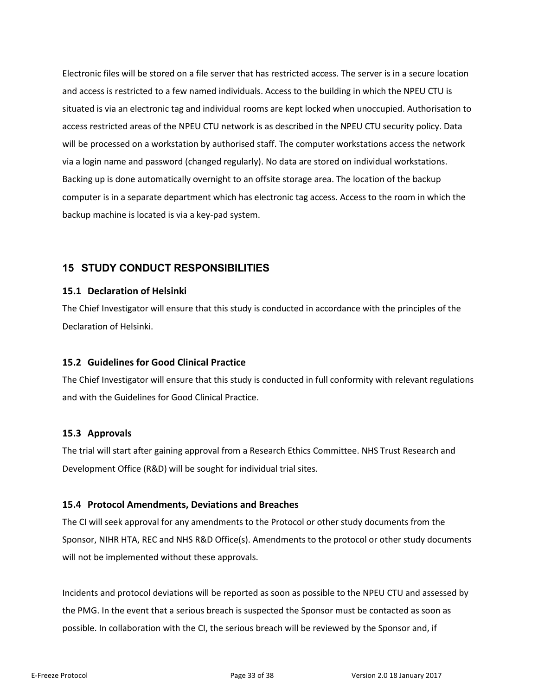Electronic files will be stored on a file server that has restricted access. The server is in a secure location and access is restricted to a few named individuals. Access to the building in which the NPEU CTU is situated is via an electronic tag and individual rooms are kept locked when unoccupied. Authorisation to access restricted areas of the NPEU CTU network is as described in the NPEU CTU security policy. Data will be processed on a workstation by authorised staff. The computer workstations access the network via a login name and password (changed regularly). No data are stored on individual workstations. Backing up is done automatically overnight to an offsite storage area. The location of the backup computer is in a separate department which has electronic tag access. Access to the room in which the backup machine is located is via a key-pad system.

## **15 STUDY CONDUCT RESPONSIBILITIES**

## **15.1 Declaration of Helsinki**

<span id="page-32-1"></span><span id="page-32-0"></span>The Chief Investigator will ensure that this study is conducted in accordance with the principles of the Declaration of Helsinki.

## **15.2 Guidelines for Good Clinical Practice**

<span id="page-32-2"></span>The Chief Investigator will ensure that this study is conducted in full conformity with relevant regulations and with the Guidelines for Good Clinical Practice.

#### **15.3 Approvals**

<span id="page-32-3"></span>The trial will start after gaining approval from a Research Ethics Committee. NHS Trust Research and Development Office (R&D) will be sought for individual trial sites.

## **15.4 Protocol Amendments, Deviations and Breaches**

<span id="page-32-4"></span>The CI will seek approval for any amendments to the Protocol or other study documents from the Sponsor, NIHR HTA, REC and NHS R&D Office(s). Amendments to the protocol or other study documents will not be implemented without these approvals.

Incidents and protocol deviations will be reported as soon as possible to the NPEU CTU and assessed by the PMG. In the event that a serious breach is suspected the Sponsor must be contacted as soon as possible. In collaboration with the CI, the serious breach will be reviewed by the Sponsor and, if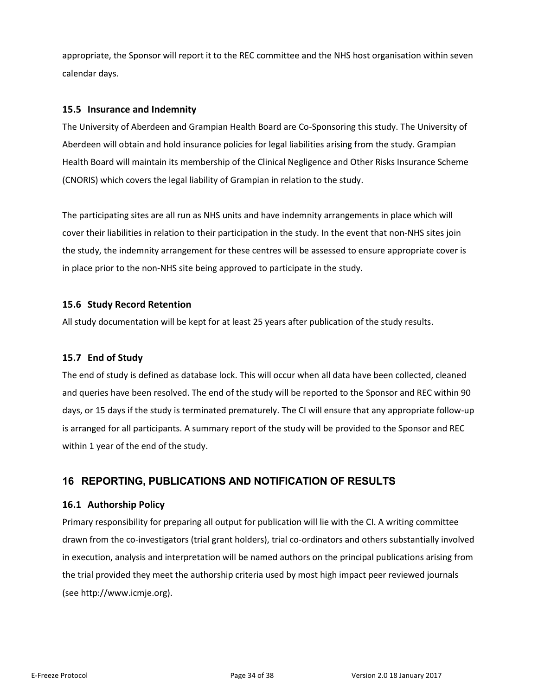appropriate, the Sponsor will report it to the REC committee and the NHS host organisation within seven calendar days.

## **15.5 Insurance and Indemnity**

<span id="page-33-0"></span>The University of Aberdeen and Grampian Health Board are Co-Sponsoring this study. The University of Aberdeen will obtain and hold insurance policies for legal liabilities arising from the study. Grampian Health Board will maintain its membership of the Clinical Negligence and Other Risks Insurance Scheme (CNORIS) which covers the legal liability of Grampian in relation to the study.

The participating sites are all run as NHS units and have indemnity arrangements in place which will cover their liabilities in relation to their participation in the study. In the event that non-NHS sites join the study, the indemnity arrangement for these centres will be assessed to ensure appropriate cover is in place prior to the non-NHS site being approved to participate in the study.

## **15.6 Study Record Retention**

All study documentation will be kept for at least 25 years after publication of the study results.

#### <span id="page-33-1"></span>**15.7 End of Study**

<span id="page-33-2"></span>The end of study is defined as database lock. This will occur when all data have been collected, cleaned and queries have been resolved. The end of the study will be reported to the Sponsor and REC within 90 days, or 15 days if the study is terminated prematurely. The CI will ensure that any appropriate follow-up is arranged for all participants. A summary report of the study will be provided to the Sponsor and REC within 1 year of the end of the study.

## **16 REPORTING, PUBLICATIONS AND NOTIFICATION OF RESULTS**

## **16.1 Authorship Policy**

<span id="page-33-4"></span><span id="page-33-3"></span>Primary responsibility for preparing all output for publication will lie with the CI. A writing committee drawn from the co-investigators (trial grant holders), trial co-ordinators and others substantially involved in execution, analysis and interpretation will be named authors on the principal publications arising from the trial provided they meet the authorship criteria used by most high impact peer reviewed journals (see http://www.icmje.org).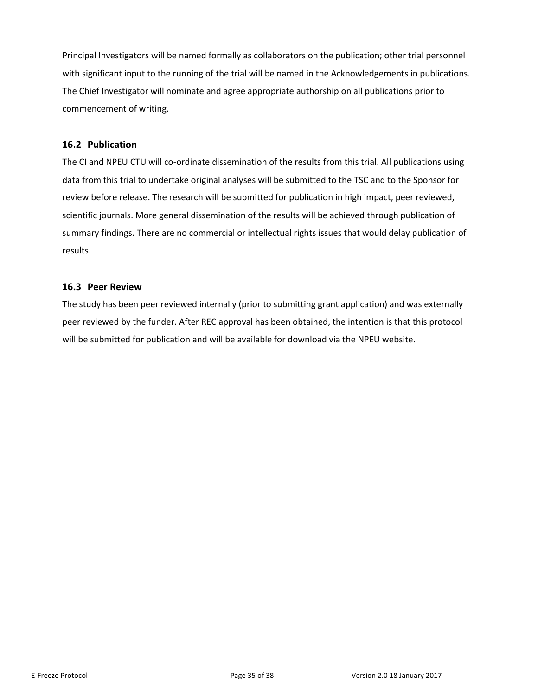Principal Investigators will be named formally as collaborators on the publication; other trial personnel with significant input to the running of the trial will be named in the Acknowledgements in publications. The Chief Investigator will nominate and agree appropriate authorship on all publications prior to commencement of writing.

## **16.2 Publication**

<span id="page-34-0"></span>The CI and NPEU CTU will co-ordinate dissemination of the results from this trial. All publications using data from this trial to undertake original analyses will be submitted to the TSC and to the Sponsor for review before release. The research will be submitted for publication in high impact, peer reviewed, scientific journals. More general dissemination of the results will be achieved through publication of summary findings. There are no commercial or intellectual rights issues that would delay publication of results.

## **16.3 Peer Review**

<span id="page-34-1"></span>The study has been peer reviewed internally (prior to submitting grant application) and was externally peer reviewed by the funder. After REC approval has been obtained, the intention is that this protocol will be submitted for publication and will be available for download via the NPEU website.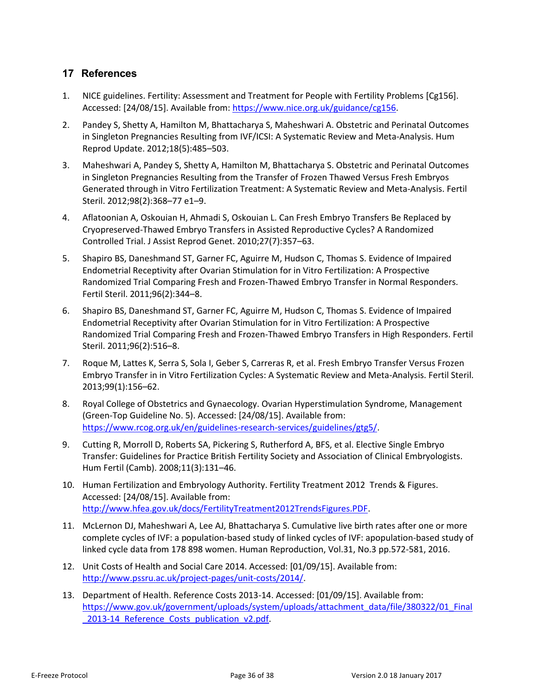## **17 References**

- 1. NICE guidelines. Fertility: Assessment and Treatment for People with Fertility Problems [Cg156]. Accessed: [24/08/15]. Available from[: https://www.nice.org.uk/guidance/cg156.](https://www.nice.org.uk/guidance/cg156)
- <span id="page-35-0"></span>2. Pandey S, Shetty A, Hamilton M, Bhattacharya S, Maheshwari A. Obstetric and Perinatal Outcomes in Singleton Pregnancies Resulting from IVF/ICSI: A Systematic Review and Meta-Analysis. Hum Reprod Update. 2012;18(5):485–503.
- 3. Maheshwari A, Pandey S, Shetty A, Hamilton M, Bhattacharya S. Obstetric and Perinatal Outcomes in Singleton Pregnancies Resulting from the Transfer of Frozen Thawed Versus Fresh Embryos Generated through in Vitro Fertilization Treatment: A Systematic Review and Meta-Analysis. Fertil Steril. 2012;98(2):368–77 e1–9.
- 4. Aflatoonian A, Oskouian H, Ahmadi S, Oskouian L. Can Fresh Embryo Transfers Be Replaced by Cryopreserved-Thawed Embryo Transfers in Assisted Reproductive Cycles? A Randomized Controlled Trial. J Assist Reprod Genet. 2010;27(7):357–63.
- 5. Shapiro BS, Daneshmand ST, Garner FC, Aguirre M, Hudson C, Thomas S. Evidence of Impaired Endometrial Receptivity after Ovarian Stimulation for in Vitro Fertilization: A Prospective Randomized Trial Comparing Fresh and Frozen-Thawed Embryo Transfer in Normal Responders. Fertil Steril. 2011;96(2):344–8.
- 6. Shapiro BS, Daneshmand ST, Garner FC, Aguirre M, Hudson C, Thomas S. Evidence of Impaired Endometrial Receptivity after Ovarian Stimulation for in Vitro Fertilization: A Prospective Randomized Trial Comparing Fresh and Frozen-Thawed Embryo Transfers in High Responders. Fertil Steril. 2011;96(2):516–8.
- 7. Roque M, Lattes K, Serra S, Sola I, Geber S, Carreras R, et al. Fresh Embryo Transfer Versus Frozen Embryo Transfer in in Vitro Fertilization Cycles: A Systematic Review and Meta-Analysis. Fertil Steril. 2013;99(1):156–62.
- 8. Royal College of Obstetrics and Gynaecology. Ovarian Hyperstimulation Syndrome, Management (Green-Top Guideline No. 5). Accessed: [24/08/15]. Available from: [https://www.rcog.org.uk/en/guidelines-research-services/guidelines/gtg5/.](https://www.rcog.org.uk/en/guidelines-research-services/guidelines/gtg5/)
- 9. Cutting R, Morroll D, Roberts SA, Pickering S, Rutherford A, BFS, et al. Elective Single Embryo Transfer: Guidelines for Practice British Fertility Society and Association of Clinical Embryologists. Hum Fertil (Camb). 2008;11(3):131–46.
- 10. Human Fertilization and Embryology Authority. Fertility Treatment 2012 Trends & Figures. Accessed: [24/08/15]. Available from: [http://www.hfea.gov.uk/docs/FertilityTreatment2012TrendsFigures.PDF.](http://www.hfea.gov.uk/docs/FertilityTreatment2012TrendsFigures.PDF)
- 11. McLernon DJ, Maheshwari A, Lee AJ, Bhattacharya S. Cumulative live birth rates after one or more complete cycles of IVF: a population-based study of linked cycles of IVF: apopulation-based study of linked cycle data from 178 898 women. Human Reproduction, Vol.31, No.3 pp.572-581, 2016.
- 12. Unit Costs of Health and Social Care 2014. Accessed: [01/09/15]. Available from: [http://www.pssru.ac.uk/project-pages/unit-costs/2014/.](http://www.pssru.ac.uk/project-pages/unit-costs/2014/)
- 13. Department of Health. Reference Costs 2013-14. Accessed: [01/09/15]. Available from: [https://www.gov.uk/government/uploads/system/uploads/attachment\\_data/file/380322/01\\_Final](https://www.gov.uk/government/uploads/system/uploads/attachment_data/file/380322/01_Final_2013-14_Reference_Costs_publication_v2.pdf) 2013-14 Reference Costs publication v2.pdf.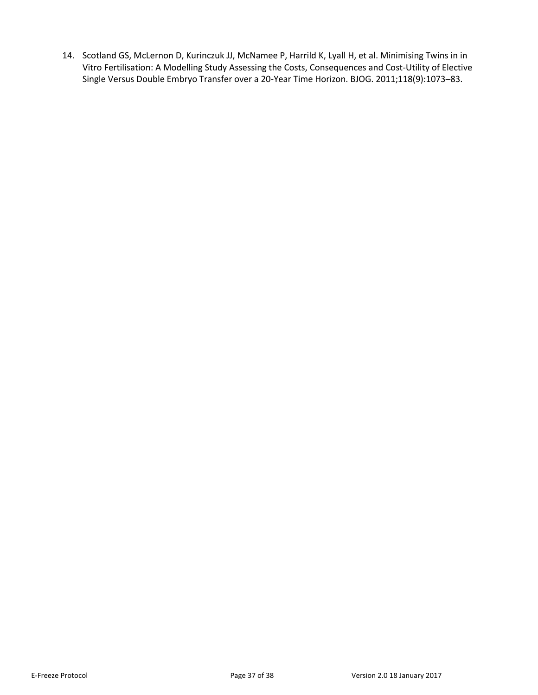14. Scotland GS, McLernon D, Kurinczuk JJ, McNamee P, Harrild K, Lyall H, et al. Minimising Twins in in Vitro Fertilisation: A Modelling Study Assessing the Costs, Consequences and Cost-Utility of Elective Single Versus Double Embryo Transfer over a 20-Year Time Horizon. BJOG. 2011;118(9):1073–83.